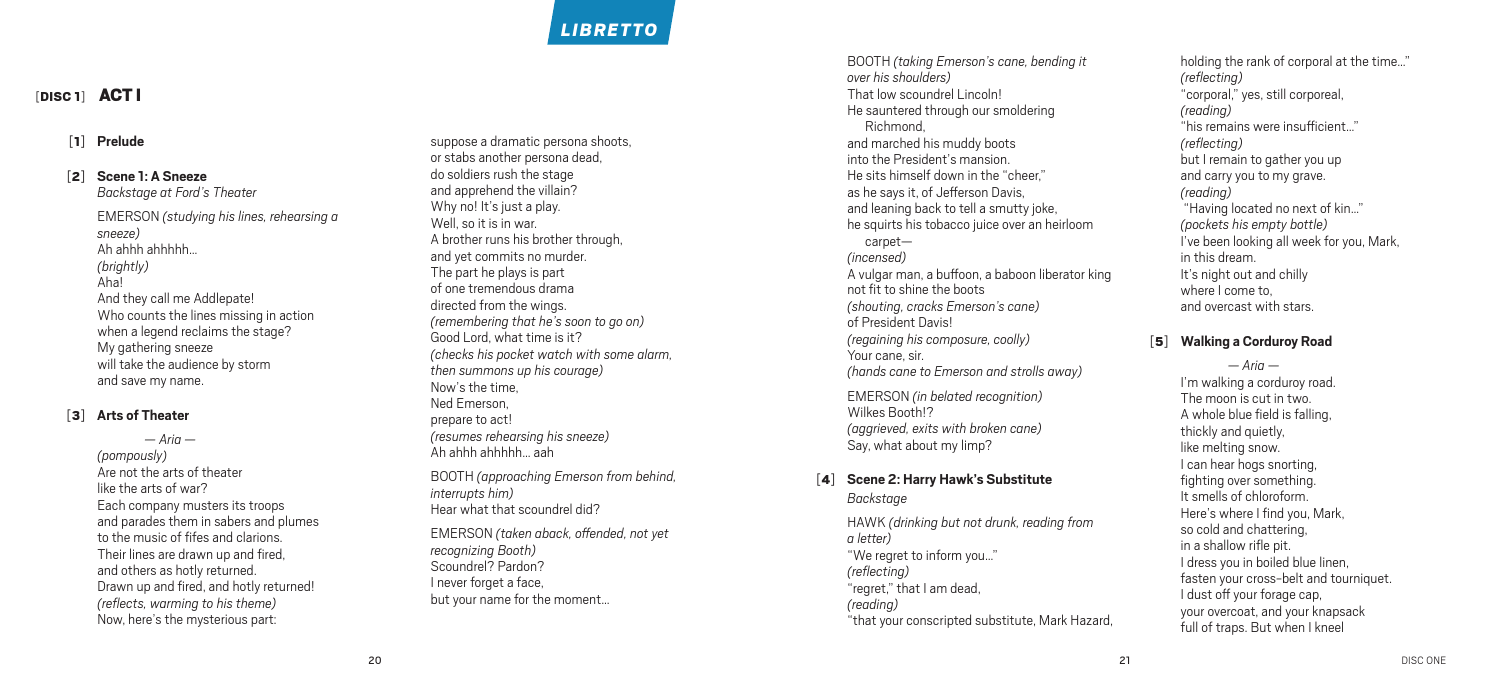# *Libretto*

## [DISC 1] **ACT |**

#### [ 1 ] **Prelude**

#### [ 2 ] **Scene 1: A Sneeze**

*Backstage at Ford's Theater* EMERSON *(studying his lines, rehearsing a sneeze )* Ah ahhh ahhhhh… *(brightly)* Aha! And they call me Addlepate! Who counts the lines missing in action when a legend reclaims the stage? My gathering sneeze will take the audience by storm and save my name.

#### [ 3 ] **Arts of Theater**

*— Aria — (pompously)* Are not the arts of theater like the arts of war? Each company musters its troops and parades them in sabers and plumes to the music of fifes and clarions. Their lines are drawn up and fired, and others as hotly returned. Drawn up and fired, and hotly returned! *(reflects, warming to his theme )* Now, here's the mysterious part:

suppose a dramatic persona shoots, or stabs another persona dead, do soldiers rush the stage and apprehend the villain? Why no! It's just a play. Well, so it is in war.<br>A brother runs his brother through, and yet commits no murder. The part he plays is part of one tremendous drama directed from the wings. *(remembering that he's soon to go on )* Good Lord, what time is it? *(checks his pocket watch with some alarm, then summons up his courage )* Now's the time, Ned Emerson, prepare to act! *(resumes rehearsing his sneeze )* Ah ahhh ahhhhh... aah<br>BOOTH *(approaching Emerson from behind,* 

*interrupts him )* Hear what that scoundrel did?

EMERSON *(taken aback, offended, not yet recognizing Booth )* Scoundrel? Pardon? I never forget a face, but your name for the moment…

BOOTH *(taking Emerson's cane, bending it over his shoulders)* That low scoundrel Lincoln! He sauntered through our smoldering Richmond, and marched his muddy boots into the President's mansion. He sits himself down in the "cheer," as he says it, of Jefferson Davis, and leaning back to tell a smutty joke, he squirts his tobacco juice over an heirloom carpet— *(incensed)* A vulgar man, a buffoon, a baboon liberator king not fit to shine the boots *(shouting, cracks Emerson's cane )* of President Davis! *(regaining his composure, coolly)* Your cane, sir. *(hands cane to Emerson and strolls away)*

EMERSON *(in belated recognition )* Wilkes Booth!? *(aggrieved, exits with broken cane )* Say, what about my limp?

#### [ 4 ] **Scene 2: Harry Hawk's Substitute** *Backstage*

HAWK *(drinking but not drunk, reading from a letter)* "We regret to inform you…" *(reflecting )* "regret," that I am dead, *(reading )* "that your conscripted substitute, Mark Hazard, holding the rank of corporal at the time…" *(reflecting )* "corporal," yes, still corporeal, *(reading )* "his remains were insufficient…" *(reflecting )* but I remain to gather you up and carry you to my grave. *(reading )* "Having located no next of kin…" *(pockets his empty bottle )* I've been looking all week for you, Mark, in this dream. It's night out and chilly where I come to, and overcast with stars.

#### [ 5 ] **Walking a Corduroy Road**

*— Aria —* I'm walking a corduroy road. The moon is cut in two. A whole blue field is falling, thickly and quietly, like melting snow. I can hear hogs snorting, fighting over something. It smells of chloroform. Here's where I find you, Mark, so cold and chattering, in a shallow rifle pit. I dress you in boiled blue linen, fasten your cross-belt and tourniquet. I dust off your forage cap, your overcoat, and your knapsack full of traps. But when I kneel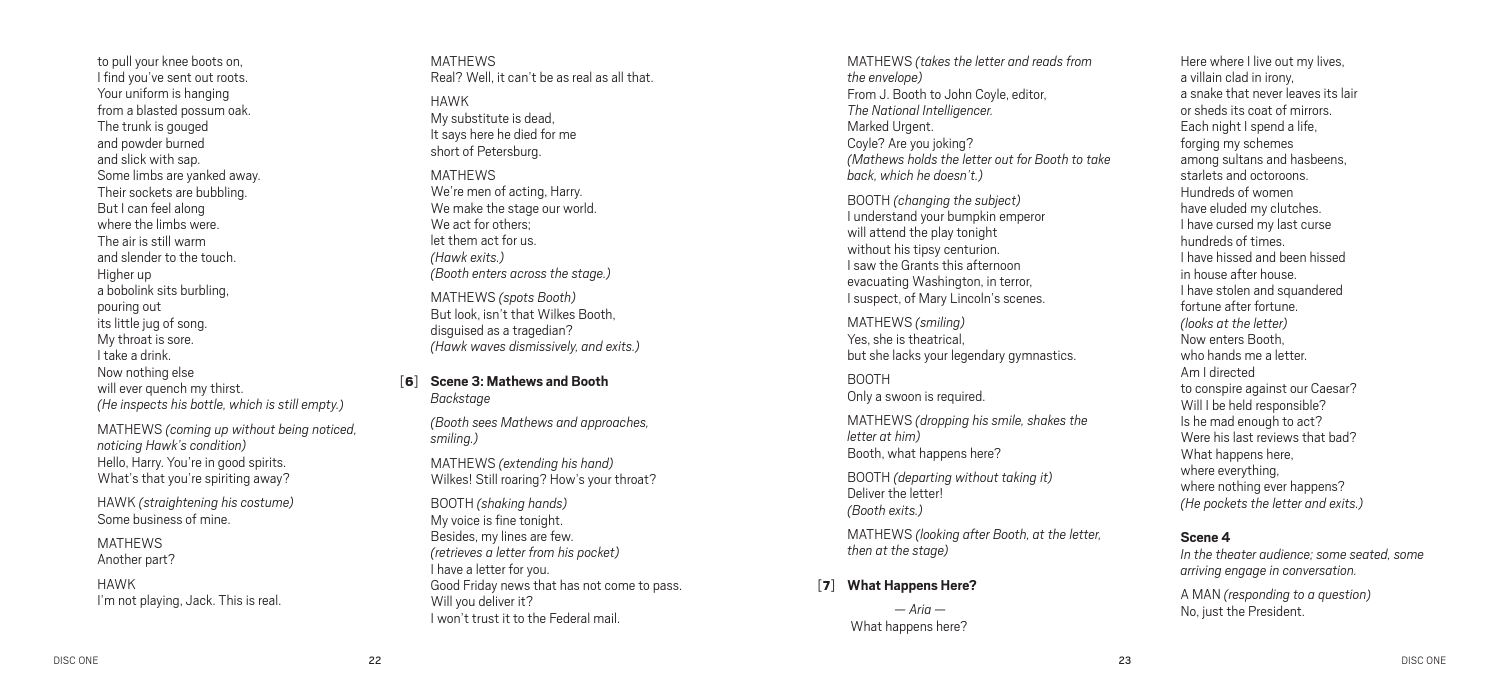to pull your knee boots on, I find you've sent out roots. Your uniform is hanging from a blasted possum oak. The trunk is gouged and powder burned and slick with sap. Some limbs are yanked away. Their sockets are bubbling. But I can feel along where the limbs were. The air is still warm and slender to the touch. Higher up a bobolink sits burbling, pouring out its little jug of song. My throat is sore. I take a drink. Now nothing else will ever quench my thirst. *(He inspects his bottle, which is still empty.)*

MATHEWS *(coming up without being noticed, noticing Hawk's condition)* Hello, Harry. You're in good spirits. What's that you're spiriting away?

HAWK *(straightening his costume)* Some business of mine.

MATHEWS Another part?

HAWK I'm not playing, Jack. This is real. MATHEWS Real? Well, it can't be as real as all that.

- HAWK My substitute is dead, It says here he died for me short of Petersburg.
- **MATHEWS** We're men of acting, Harry. We make the stage our world. We act for others: let them act for us. *(Hawk exits.) (Booth enters across the stage.)*

MATHEWS *(spots Booth)* But look, isn't that Wilkes Booth, disguised as a tragedian? *(Hawk waves dismissively, and exits.)*

[6] **Scene 3: Mathews and Booth** *Backstage*

> *(Booth sees Mathews and approaches, smiling.)*

MATHEWS *(extending his hand)* Wilkes! Still roaring? How's your throat?

BOOTH *(shaking hands)* My voice is fine tonight. Besides, my lines are few. *(retrieves a letter from his pocket)* I have a letter for you. Good Friday news that has not come to pass. Will you deliver it? I won't trust it to the Federal mail.

MATHEWS *(takes the letter and reads from the envelope)* From J. Booth to John Coyle, editor, *The National Intelligencer.* Marked Urgent. Coyle? Are you joking? *(Mathews holds the letter out for Booth to take back, which he doesn't.)*

BOOTH *(changing the subject)* I understand your bumpkin emperor will attend the play tonight without his tipsy centurion. I saw the Grants this afternoon evacuating Washington, in terror, I suspect, of Mary Lincoln's scenes.

MATHEWS *(smiling)* Yes, she is theatrical but she lacks your legendary gymnastics.

BOOTH Only a swoon is required.

MATHEWS *(dropping his smile, shakes the letter at him)* Booth, what happens here?

BOOTH *(departing without taking it)* Deliver the letter! *(Booth exits.)*

MATHEWS *(looking after Booth, at the letter, then at the stage)*

#### [7] **What Happens Here?**

*— Aria —*  What happens here? Here where I live out my lives, a villain clad in irony, a snake that never leaves its lair or sheds its coat of mirrors. Each night I spend a life, forging my schemes among sultans and hasbeens, starlets and octoroons. Hundreds of women have eluded my clutches. I have cursed my last curse hundreds of times. I have hissed and been hissed in house after house. I have stolen and squandered fortune after fortune. *(looks at the letter)* Now enters Booth, who hands me a letter. Am I directed to conspire against our Caesar? Will I be held responsible? Is he mad enough to act? Were his last reviews that bad? What happens here, where everything, where nothing ever happens? *(He pockets the letter and exits.)*

#### **Scene 4**

*In the theater audience; some seated, some arriving engage in conversation.*

A MAN *(responding to a question)* No, just the President.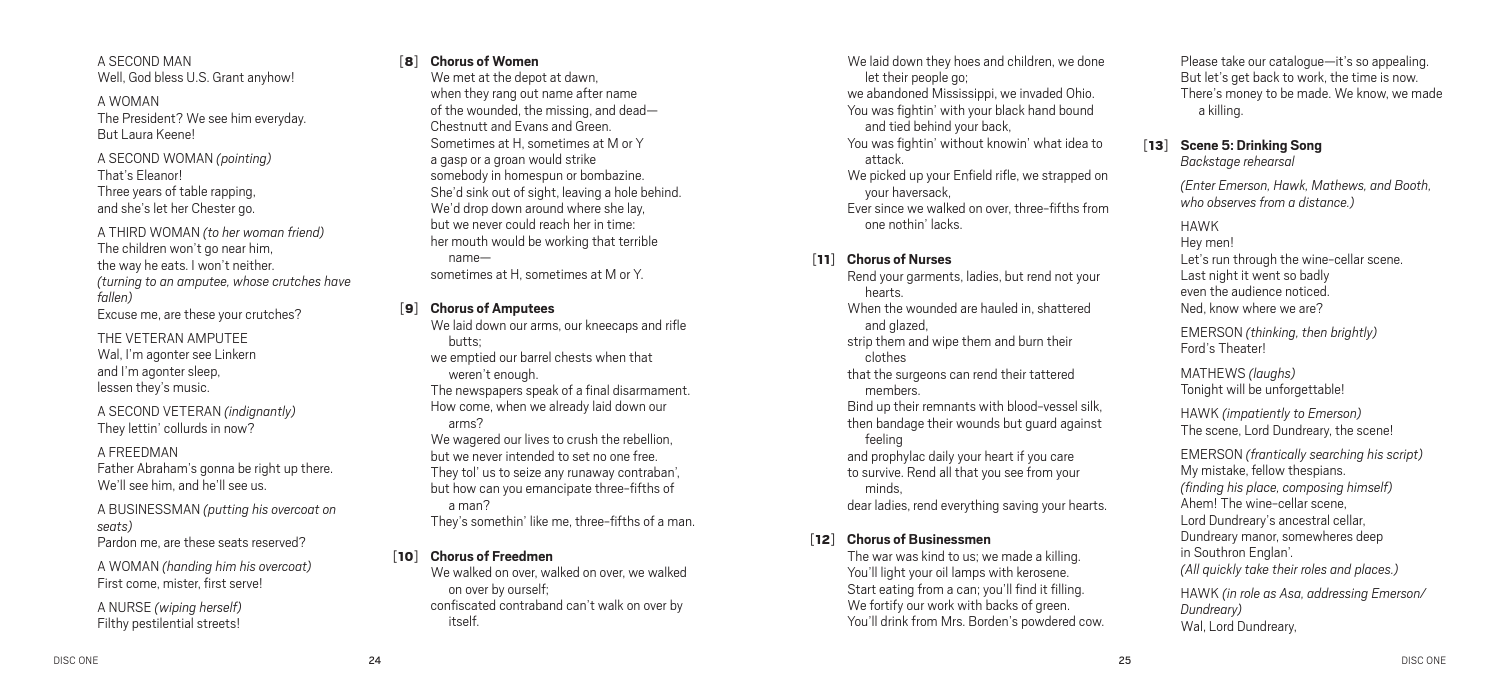A SECOND MAN Well, God bless U.S. Grant anyhow!

A WOMAN The President? We see him everyday. But Laura Keene!

A SECOND WOMAN *(pointing)* That's Eleanor! Three years of table rapping, and she's let her Chester go.

A THIRD WOMAN *(to her woman friend)* The children won't go near him, the way he eats. I won't neither. *(turning to an amputee, whose crutches have fallen)* Excuse me, are these your crutches?

THE VETERAN AMPUTEE Wal, I'm agonter see Linkern and I'm agonter sleep, lessen they's music.

A SECOND VETERAN *(indignantly)* They lettin' collurds in now?

#### A FREEDMAN

Father Abraham's gonna be right up there. We'll see him, and he'll see us.

A BUSINESSMAN *(putting his overcoat on seats)* Pardon me, are these seats reserved?

A WOMAN *(handing him his overcoat)* First come, mister, first servel

A NURSE *(wiping herself)* Filthy pestilential streets!

#### [8] **Chorus of Women**

We met at the depot at dawn, when they rang out name after name of the wounded, the missing, and dead— Chestnutt and Evans and Green. Sometimes at H, sometimes at M or Y a gasp or a groan would strike somebody in homespun or bombazine. She'd sink out of sight, leaving a hole behind. We'd drop down around where she lay, but we never could reach her in time: her mouth would be working that terrible name sometimes at H, sometimes at M or Y.

#### [9] **Chorus of Amputees**

We laid down our arms, our kneecaps and rifle butts;

we emptied our barrel chests when that weren't enough.

The newspapers speak of a final disarmament. How come, when we already laid down our arms?

We wagered our lives to crush the rebellion. but we never intended to set no one free. They tol' us to seize any runaway contraban', but how can you emancipate three-fifths of a man?

They's somethin' like me, three-fifths of a man.

#### [10] **Chorus of Freedmen**

We walked on over, walked on over, we walked on over by ourself; confiscated contraband can't walk on over by itself.

We laid down they hoes and children, we done let their people go; we abandoned Mississippi, we invaded Ohio. You was fightin' with your black hand bound and tied behind your back, You was fightin' without knowin' what idea to attack. We picked up your Enfield rifle, we strapped on your haversack, Ever since we walked on over, three-fifths from

one nothin' lacks.

### [11] **Chorus of Nurses**

Rend your garments, ladies, but rend not your hearts. When the wounded are hauled in, shattered and glazed. strip them and wipe them and burn their clothes that the surgeons can rend their tattered members. Bind up their remnants with blood-vessel silk, then bandage their wounds but guard against feeling and prophylac daily your heart if you care to survive. Rend all that you see from your minds, dear ladies, rend everything saving your hearts.

#### [12] **Chorus of Businessmen**

The war was kind to us; we made a killing. You'll light your oil lamps with kerosene. Start eating from a can; you'll find it filling. We fortify our work with backs of green. You'll drink from Mrs. Borden's powdered cow. Please take our catalogue—it's so appealing. But let's get back to work, the time is now. There's money to be made. We know, we made a killing.

#### [13] **Scene 5: Drinking Song**  *Backstage rehearsal*

*(Enter Emerson, Hawk, Mathews, and Booth, who observes from a distance.)*

#### HAWK

Hey men! Let's run through the wine-cellar scene. Last night it went so badly even the audience noticed. Ned, know where we are?

EMERSON *(thinking, then brightly)* Ford's Theater!

MATHEWS *(laughs)* Tonight will be unforgettable!

HAWK *(impatiently to Emerson)* The scene, Lord Dundreary, the scene!

EMERSON *(frantically searching his script)* My mistake, fellow thespians. *(finding his place, composing himself)* Ahem! The wine-cellar scene, Lord Dundreary's ancestral cellar, Dundreary manor, somewheres deep in Southron Englan'. *(All quickly take their roles and places.)*

HAWK *(in role as Asa, addressing Emerson/ Dundreary)* Wal, Lord Dundreary,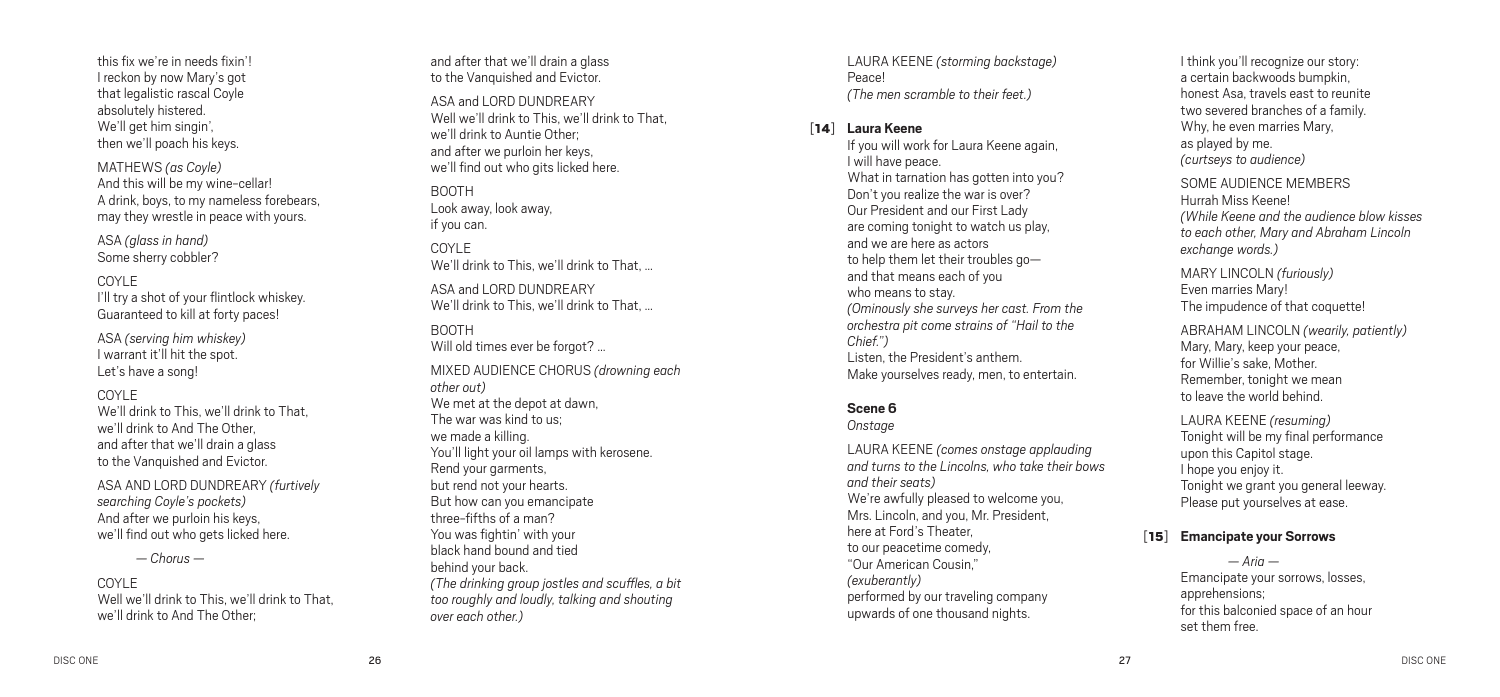this fix we're in needs fixin'! I reckon by now Mary's got that legalistic rascal Coyle absolutely histered. We'll get him singin', then we'll poach his keys.

MAT H E W S *(as Coyle )* And this will be my wine-cellar! A drink, boys, to my nameless forebears, may they wrestle in peace with yours.

ASA *(glass in hand)* Some sherry cobbler?

#### COYLE

I'll try a shot of your flintlock whiskey. Guaranteed to kill at forty paces!

ASA *(serving him whiskey)* I warrant it'll hit the spot. Let's have a song!

#### COYLE

We'll drink to This, we'll drink to That, we'll drink to And The Other, and after that we'll drain a glass to the Vanquished and Evictor.

ASA AND LORD DUNDREARY *(furtively searching Coyle's pockets)* And after we purloin his keys, we'll find out who gets licked here.

*— Chorus —*

#### COYLE

Well we'll drink to This, we'll drink to That, we'll drink to And The Other;

and after that we'll drain a glass to the Vanquished and Evictor.

ASA and LORD DUNDREARY Well we'll drink to This, we'll drink to That, we'll drink to Auntie Other; and after we purloin her keys, we'll find out who gits licked here. BOOTH

Look away, look away, if you can.

COYLE We'll drink to This, we'll drink to That, …

ASA and LORD DUNDREARY We'll drink to This, we'll drink to That, …

BOOT H Will old times ever be forgot? ... MI XED AUDIENCE C HORUS *(drowning each other out)* We met at the depot at dawn, The war was kind to us; we made a killing. You'll light your oil lamps with kerosene. Rend your garments, but rend not your hearts. But how can you emancipate three-fifths of a man? You was fightin' with your black hand bound and tied behind your back. *(The drinking group jostles and scuffles, a bit too roughly and loudly, talking and shouting over each other. )*

LAURA KEENE *(storming backstage )* Peace! *(The men scramble to their feet. )*

#### [14 ] **Laura Keene**

If you will work for Laura Keene again, I will have peace. What in tarnation has gotten into you? Don't you realize the war is over? Our President and our First Lady are coming tonight to watch us play, and we are here as actors to help them let their troubles go and that means each of you who means to stay. *(Ominously she surveys her cast. From the orchestra pit come strains of " Hail to the Chief.")* Listen, the President's anthem. Make yourselves ready, men, to entertain.

### **Scene 6**

*Onstage* 

LAURA KEENE *(comes onstage applauding and turns to the Lincolns, who take their bows and their seats)* We're awfully pleased to welcome you, Mrs. Lincoln, and you, Mr. President, here at Ford's Theater, to our peacetime comedy, "Our American Cousin," *(exuberantly)* performed by our traveling company upwards of one thousand nights.

I think you'll recognize our story: a certain backwoods bumpkin, honest Asa, travels east to reunite two severed branches of a family. Why, he even marries Mary, as played by me. *(curtseys to audience )*

SOME AUDIENCE MEMBE Hurrah Miss Keene! *(While Keene and the audience blow kisses to each other, Mary and Abraham Lincoln exchange words. )*

MARY LINCOLN *(furiously)* Even marries Mary! The impudence of that coquette!

ABRAHAM LINCOLN *(wearily, patiently)* Mary, Mary, keep your peace, for Willie's sake, Mother. Remember, tonight we mean to leave the world behind.

LAURA KEENE *(resuming )* Tonight will be my final performance upon this Capitol stage. I hope you enjoy it. Tonight we grant you general leeway. Please put yourselves at ease.

#### [15 ] **Emancipate your Sorrows**

*— Aria —*  Emancipate your sorrows, losses, apprehensions; for this balconied space of an hour set them free.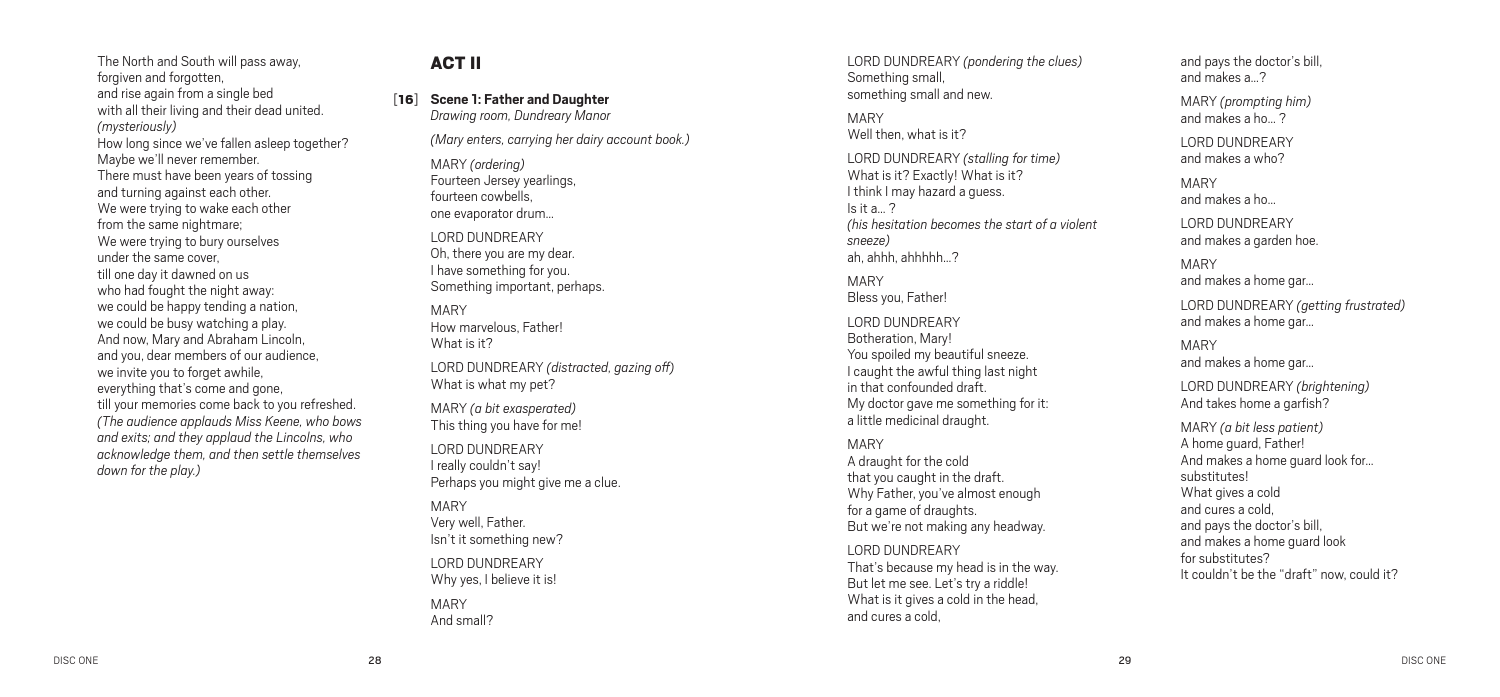The North and South will pass away, forgiven and forgotten, and rise again from a single bed with all their living and their dead united. *(mysteriously)* How long since we've fallen asleep together? Maybe we'll never remember. There must have been years of tossing and turning against each other. We were trying to wake each other from the same nightmare; We were trying to bury ourselves under the same cover, till one day it dawned on us who had fought the night away: we could be happy tending a nation, we could be busy watching a play. And now, Mary and Abraham Lincoln, and you, dear members of our audience, we invite you to forget awhile. everything that's come and gone, till your memories come back to you refreshed. *(The audience applauds Miss Keene, who bows and exits; and they applaud the Lincolns, who acknowledge them, and then settle themselves down for the play.)*

## ACT II

[16] **Scene 1: Father and Daughter** *Drawing room, Dundreary Manor*

*(Mary enters, carrying her dairy account book.)*

MARY *(ordering)* Fourteen Jersey yearlings, fourteen cowbells, one evaporator drum…

LORD DUNDREARY Oh, there you are my dear. I have something for you. Something important, perhaps.

#### MARY

How marvelous, Father! What is it?

LORD DUNDREARY *(distracted, gazing off)* What is what my pet?

MARY *(a bit exasperated)* This thing you have for me!

LORD DUNDREARY I really couldn't say! Perhaps you might give me a clue.

MARY Very well, Father. Isn't it something new?

LORD DUNDREARY Why yes, I believe it is!

MARY And small? LORD DUNDREARY *(pondering the clues)* Something small, something small and new.

## MARY

Well then, what is it?

LORD DUNDREARY *(stalling for time)* What is it? Exactly! What is it? I think I may hazard a quess.  $Is$  it a 2 *(his hesitation becomes the start of a violent sneeze)* ah ahhh ahhhhh ?

MARY Bless you, Father!

LORD DUNDREARY Botheration, Mary! You spoiled my beautiful sneeze. I caught the awful thing last night in that confounded draft. My doctor gave me something for it: a little medicinal draught.

#### MARY

A draught for the cold that you caught in the draft. Why Father, you've almost enough for a game of draughts. But we're not making any headway.

LORD DUNDREARY That's because my head is in the way. But let me see. Let's try a riddle! What is it gives a cold in the head. and cures a cold,

and pays the doctor's bill, and makes a 2

MARY *(prompting him)* and makes a ho… ?

LORD DUNDREARY and makes a who?

MARY and makes a ho…

LORD DUNDREARY and makes a garden hoe.

MARY and makes a home gar…

LORD DUNDREARY *(getting frustrated)* and makes a home gar…

MARY and makes a home gar…

LORD DUNDREARY *(brightening)* And takes home a garfish?

MARY *(a bit less patient)* A home guard, Father! And makes a home guard look for… substitutes! What gives a cold and cures a cold, and pays the doctor's bill, and makes a home guard look for substitutes? It couldn't be the "draft" now, could it?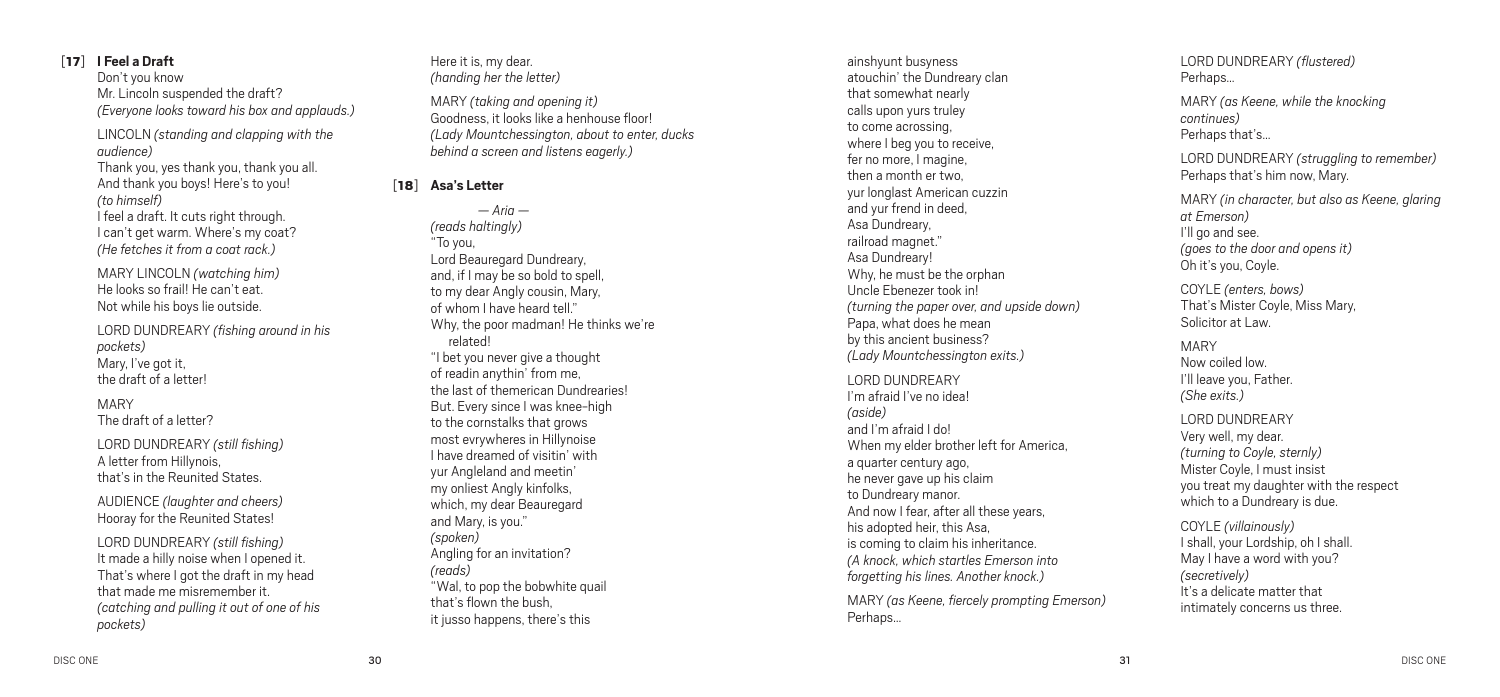## [17] **I Feel a Draft**

Don't you know Mr. Lincoln suspended the draft? *(Everyone looks toward his box and applauds.)*

LINCOLN *(standing and clapping with the audience)* Thank you, yes thank you, thank you all.

And thank you boys! Here's to you! *(to himself)* I feel a draft. It cuts right through. I can't get warm. Where's my coat? *(He fetches it from a coat rack.)*

MARY LINCOLN *(watching him)* He looks so frail! He can't eat. Not while his boys lie outside.

LORD DUNDREARY *(fishing around in his pockets)* Mary, I've got it, the draft of a letter!

MARY The draft of a letter?

LORD DUNDREARY *(still fishing)* A letter from Hillynois, that's in the Reunited States.

AUDIENCE *(laughter and cheers)* Hooray for the Reunited States!

LORD DUNDREARY *(still fishing)* It made a hilly noise when I opened it. That's where I got the draft in my head that made me misremember it. *(catching and pulling it out of one of his pockets)*

Here it is, my dear. *(handing her the letter)*

MARY *(taking and opening it)* Goodness, it looks like a henhouse floor! *(Lady Mountchessington, about to enter, ducks behind a screen and listens eagerly.)*

### [18] **Asa's Letter**

*— Aria — (reads haltingly)* "To you, Lord Beauregard Dundreary, and, if I may be so bold to spell, to my dear Angly cousin, Mary, of whom I have heard tell." Why, the poor madman! He thinks we're related! "I bet you never give a thought of readin anythin' from me, the last of themerican Dundrearies! But. Every since I was knee-high to the cornstalks that grows most evrywheres in Hillynoise I have dreamed of visitin' with yur Angleland and meetin' my onliest Angly kinfolks, which, my dear Beauregard and Mary, is you." *(spoken)* Angling for an invitation? *(reads)* "Wal, to pop the bobwhite quail that's flown the bush, it jusso happens, there's this

ainshyunt busyness atouchin' the Dundreary clan that somewhat nearly calls upon yurs truley to come acrossing, where I beg you to receive, fer no more, I magine, then a month er two, yur longlast American cuzzin and yur frend in deed, Asa Dundreary, railroad magnet." Asa Dundreary! Why, he must be the orphan Uncle Ebenezer took in! *(turning the paper over, and upside down)* Papa, what does he mean by this ancient business? *(Lady Mountchessington exits.)*

LORD DUNDREARY I'm afraid I've no idea! *(aside)* and I'm afraid I do! When my elder brother left for America, a quarter century ago, he never gave up his claim to Dundreary manor. And now I fear, after all these years, his adopted heir, this Asa, is coming to claim his inheritance. *(A knock, which startles Emerson into forgetting his lines. Another knock.)*

MARY *(as Keene, fiercely prompting Emerson)* Perhaps…

LORD DUNDREARY *(flustered)* Perhaps…

MARY *(as Keene, while the knocking continues)* Perhans that's

LORD DUNDREARY *(struggling to remember)* Perhaps that's him now, Mary.

MARY *(in character, but also as Keene, glaring at Emerson)* I'll go and see. *(goes to the door and opens it)* Oh it's you, Coyle.

COYLE *(enters, bows)* That's Mister Coyle, Miss Mary, Solicitor at Law.

MARY Now coiled low. I'll leave you, Father. *(She exits.)*

LORD DUNDREARY Very well, my dear. *(turning to Coyle, sternly)* Mister Coyle, I must insist you treat my daughter with the respect which to a Dundreary is due.

COYLE *(villainously)* I shall, your Lordship, oh I shall. May I have a word with you? *(secretively)* It's a delicate matter that intimately concerns us three.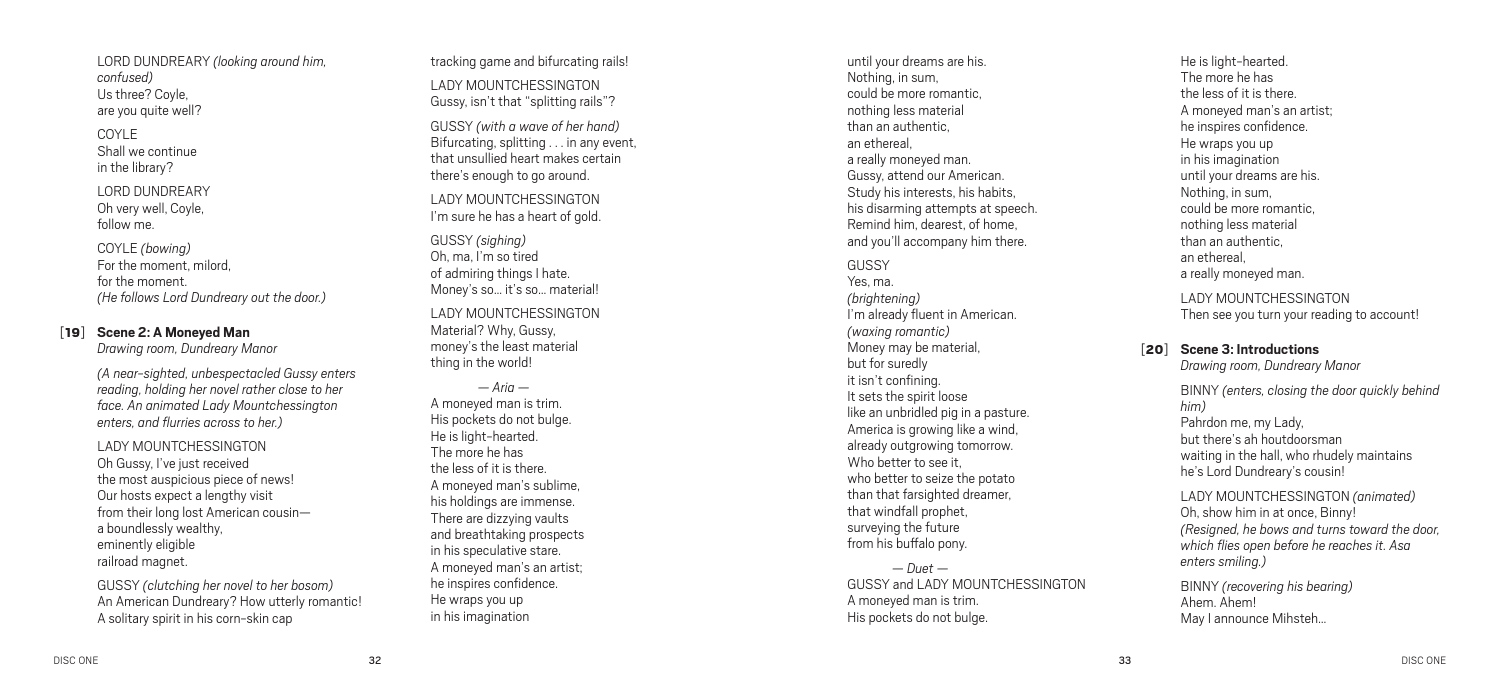LORD DUNDREARY *(looking around him, confused)* Us three? Coyle, are you quite well?

COYLE Shall we continue in the library?

LORD DUNDREARY Oh very well, Coyle, follow me.

COYLE *(bowing )* For the moment, milord, for the moment. *(He follows Lord Dundreary out the door. )*

#### [19 ] **Scene 2: A Moneyed Man**

*Drawing room, Dundreary Manor*

*(A near-sighted, unbespectacled Gussy enters reading, holding her novel rather close to her face. An animated Lady Mountchessington enters, and flurries across to her. )*

LADY MOUNTCHESSINGT Oh Gussy, I've just received the most auspicious piece of news! Our hosts expect a lengthy visit from their long lost American cousin a boundlessly wealthy, eminently eligible

railroad magnet.<br>GUSSY *(clutching her novel to her bosom)* An American Dundreary? How utterly romantic! A solitary spirit in his corn-skin cap

tracking game and bifurcating rails! LADY MOUNTCHESSINGT Gussy, isn't that "splitting rails"?

GUSSY *(with a wave of her hand)* Bifurcating, splitting . . . in any event. that unsullied heart makes certain there's enough to go around.

LADY MOUNTCHESSINGT I'm sure he has a heart of gold.

GUSSY *(sighing)* Oh, ma, I'm so tired of admiring things I hate. Money's so… it's so… material! LADY MOUNTCHESSINGT Material? Why, Gussy, money's the least material thing in the world!

*— Aria —*  A moneyed man is trim. His pockets do not bulge. He is light-hearted. The more he has the less of it is there. A moneyed man's sublime, his holdings are immense. There are dizzying vaults and breathtaking prospects in his speculative stare. A moneyed man's an artist; he inspires confidence. He wraps you up in his imagination

until your dreams are his. Nothing, in sum, could be more romantic, nothing less material than an authentic, an ethereal, a really moneyed man. Gussy, attend our American. Study his interests, his habits, his disarming attempts at speech. Remind him, dearest, of home, and you'll accompany him there.

**GUSSY** Yes, ma. *(brightening )* I'm already fluent in American. *(waxing romantic )* Money may be material, but for suredly it isn't confining. It sets the spirit loose like an unbridled pig in a pasture. America is growing like a wind, already outgrowing tomorrow. Who better to see it who better to seize the potato than that farsighted dreamer, that windfall prophet, surveying the future from his buffalo pony.

*— Duet —*  GUSSY and LADY MOUNTCHESSINGTON A moneyed man is trim. His pockets do not bulge.

He is light-hearted. The more he has the less of it is there. A moneyed man's an artist; he inspires confidence. He wraps you up in his imagination until your dreams are his. Nothing, in sum, could be more romantic, nothing less material than an authentic, an ethereal, a really moneyed man.

LADY MOUNTCHESSINGT Then see you turn your reading to account!

#### [20 ] **Scene 3: Introductions**

*Drawing room, Dundreary Manor*

BINNY *(enters, closing the door quickly behind him )* Pahrdon me, my Lady, but there's ah houtdoorsman waiting in the hall, who rhudely maintains he's Lord Dundreary's cousin!

LADY MOUNTC HESSIN GTON *(animated)* Oh, show him in at once, Binny! *(Resigned, he bows and turns toward the door, which flies open before he reaches it. Asa enters smiling. )*

BINNY *(recovering his bearing )* Ahem. Ahem! May I announce Mihsteh…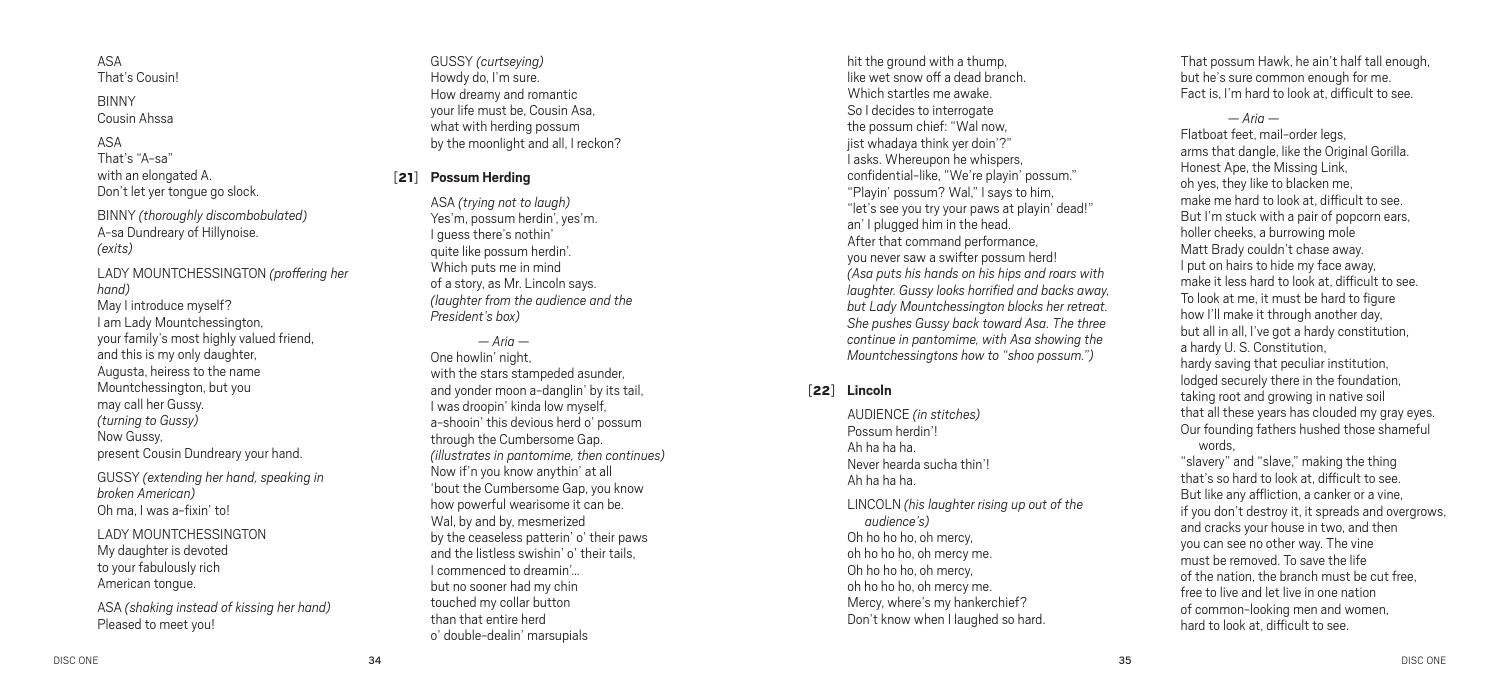ASA That's Cousin!

BINNY Cousin Ahssa

#### ASA

That's "A-sa" with an elongated A. Don't let yer tongue go slock.

BINNY *(thoroughly discombobulated)* A-sa Dundreary of Hillynoise. *(exits)*

LADY MOUNTCHESSINGTON *(proffering her hand)* May I introduce myself? I am Lady Mountchessington, your family's most highly valued friend, and this is my only daughter, Augusta, heiress to the name Mountchessington, but you may call her Gussy. *(turning to Gussy)* Now Gussy, present Cousin Dundreary your hand.

GUSSY *(extending her hand, speaking in broken American)* Oh ma, I was a-fixin' to!

LADY MOUNTCHESSINGTON My daughter is devoted to your fabulously rich American tongue.

ASA *(shaking instead of kissing her hand)* Pleased to meet you!

GUSSY *(curtseying)* Howdy do, I'm sure. How dreamy and romantic your life must be, Cousin Asa, what with herding possum by the moonlight and all, I reckon?

#### [21] **Possum Herding**

ASA *(trying not to laugh)* Yes'm, possum herdin', yes'm. I guess there's nothin' quite like possum herdin'. Which puts me in mind of a story, as Mr. Lincoln says. *(laughter from the audience and the President's box)*

*— Aria —*  One howlin' night, with the stars stampeded asunder, and yonder moon a-danglin' by its tail, I was droopin' kinda low myself, a-shooin' this devious herd o' possum through the Cumbersome Gap. *(illustrates in pantomime, then continues)* Now if'n you know anythin' at all 'bout the Cumbersome Gap, you know how powerful wearisome it can be. Wal, by and by, mesmerized by the ceaseless patterin' o' their paws and the listless swishin' o' their tails, I commenced to dreamin'… but no sooner had my chin touched my collar button than that entire herd o' double-dealin' marsupials

hit the ground with a thump, like wet snow off a dead branch. Which startles me awake. So I decides to interrogate the possum chief: "Wal now, jist whadaya think yer doin'?" I asks. Whereupon he whispers, confidential-like, "We're playin' possum." "Playin' possum? Wal," I says to him, "let's see you try your paws at playin' dead!" an' I plugged him in the head. After that command performance, you never saw a swifter possum herd! *(Asa puts his hands on his hips and roars with laughter. Gussy looks horrified and backs away, but Lady Mountchessington blocks her retreat. She pushes Gussy back toward Asa. The three continue in pantomime, with Asa showing the Mountchessingtons how to "shoo possum.")*

#### [22] **Lincoln**

AUDIENCE *(in stitches)* Possum herdin'! Ah ha ha ha. Never hearda sucha thin'! Ah ha ha ha.

LINCOLN *(his laughter rising up out of the audience's)* Oh ho ho ho, oh mercy, oh ho ho ho, oh mercy me. Oh ho ho ho, oh mercy, oh ho ho ho, oh mercy me. Mercy, where's my hankerchief? Don't know when I laughed so hard.

That possum Hawk, he ain't half tall enough, but he's sure common enough for me. Fact is, I'm hard to look at, difficult to see.

#### *— Aria —*

Flatboat feet, mail-order legs, arms that dangle, like the Original Gorilla. Honest Ape, the Missing Link, oh yes, they like to blacken me, make me hard to look at, difficult to see. But I'm stuck with a pair of popcorn ears, holler cheeks, a burrowing mole Matt Brady couldn't chase away. I put on hairs to hide my face away, make it less hard to look at, difficult to see. To look at me, it must be hard to figure how I'll make it through another day, but all in all, I've got a hardy constitution, a hardy U. S. Constitution, hardy saving that peculiar institution, lodged securely there in the foundation, taking root and growing in native soil that all these years has clouded my gray eyes. Our founding fathers hushed those shameful words, "slavery" and "slave," making the thing

that's so hard to look at, difficult to see. But like any affliction, a canker or a vine, if you don't destroy it, it spreads and overgrows, and cracks your house in two, and then you can see no other way. The vine must be removed. To save the life of the nation, the branch must be cut free, free to live and let live in one nation of common-looking men and women, hard to look at, difficult to see.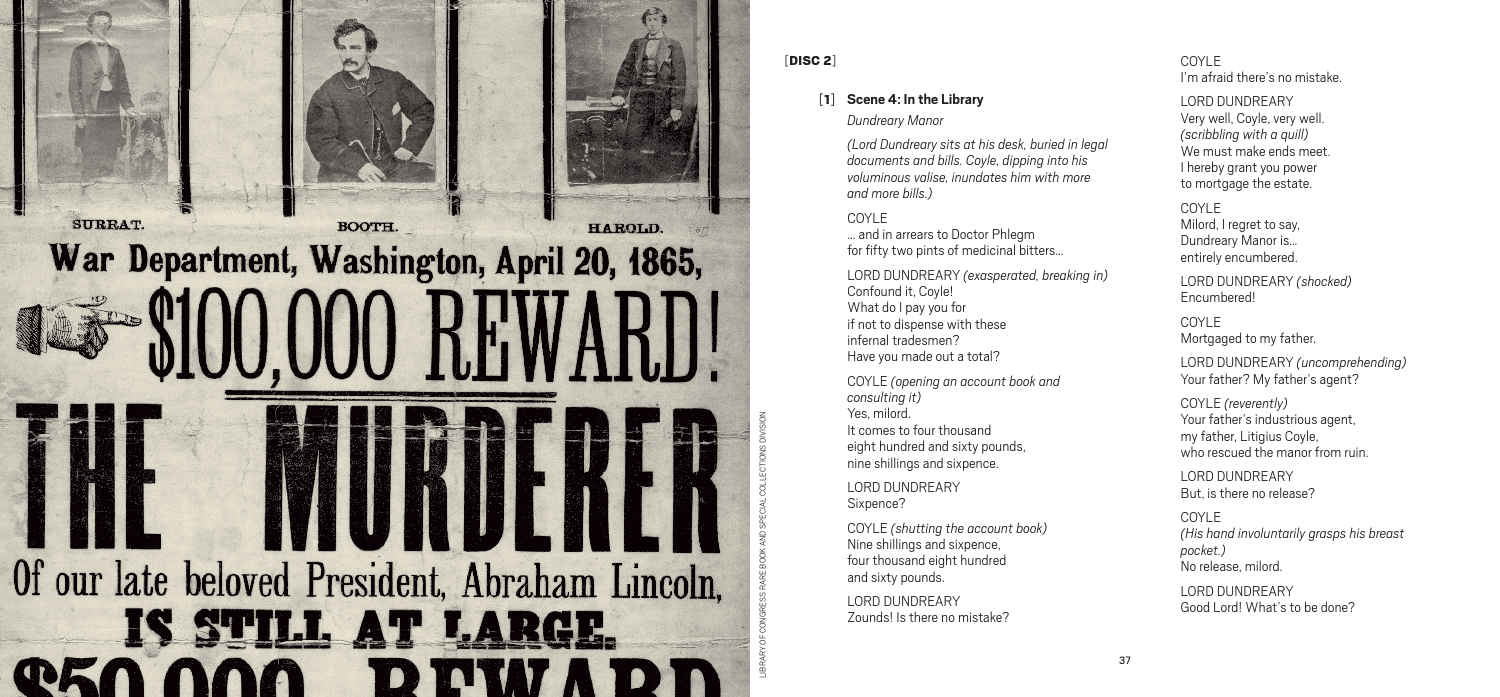

#### [DISC 2]

## [1] **Scene 4: In the Library**

*Dundreary Manor*

*(Lord Dundreary sits at his desk, buried in legal documents and bills. Coyle, dipping into his voluminous valise, inundates him with more and more bills.)*

#### COYLE

… and in arrears to Doctor Phlegm for fifty two pints of medicinal bitters…

LORD DUNDREARY *(exasperated, breaking in)* Confound it, Coyle! What do I pay you for if not to dispense with these infernal tradesmen? Have you made out a total?

COYLE *(opening an account book and consulting it)* Yes, milord. It comes to four thousand eight hundred and sixty pounds, nine shillings and sixpence.

LORD DUNDREARY Sixpence?

COYLE *(shutting the account book)* Nine shillings and sixpence, four thousand eight hundred and sixty pounds.

LORD DUNDREARY Zounds! Is there no mistake? COYLE I'm afraid there's no mistake.

#### LORD DUNDREARY

Very well, Coyle, very well. *(scribbling with a quill)* We must make ends meet. I hereby grant you power to mortgage the estate.

COYLE Milord, I regret to say, Dundreary Manor is… entirely encumbered.

LORD DUNDREARY *(shocked)* Encumbered!

COYLE Mortgaged to my father.

LORD DUNDREARY *(uncomprehending)* Your father? My father's agent?

COYLE *(reverently)* Your father's industrious agent, my father, Litigius Coyle, who rescued the manor from ruin.

LORD DUNDREARY But, is there no release?

COYLE *(His hand involuntarily grasps his breast pocket.)* No release, milord.

LORD DUNDREARY Good Lord! What's to be done?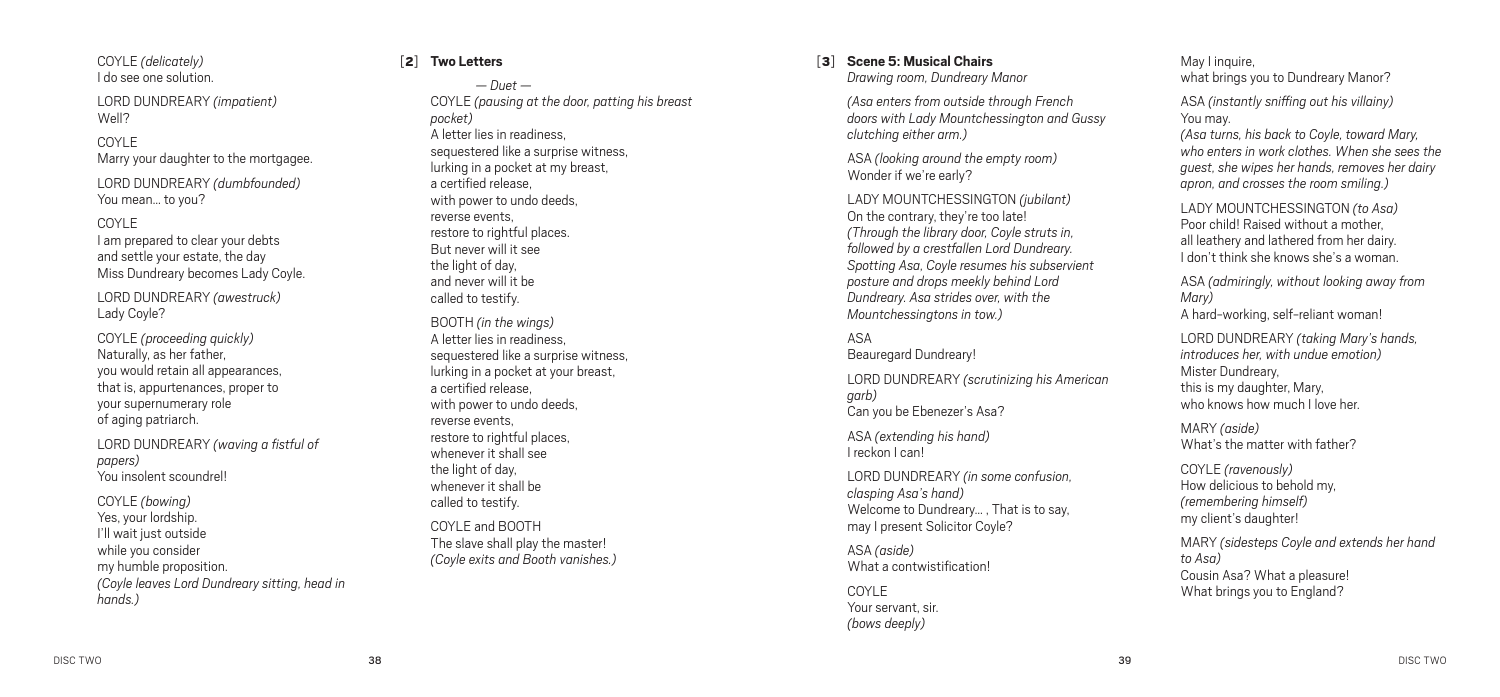COYLE *(delicately)* I do see one solution.

LORD DUNDREARY *(impatient)* Well?

#### COYLE

Marry your daughter to the mortgagee.

LORD DUNDREARY *(dumbfounded)* You mean… to you?

#### COYLE

I am prepared to clear your debts and settle your estate, the day Miss Dundreary becomes Lady Coyle.

LORD DUNDREARY *(awestruck)* Lady Coyle?

COYLE *(proceeding quickly)* Naturally, as her father, you would retain all appearances, that is, appurtenances, proper to your supernumerary role of aging patriarch.

LORD DUNDREARY *(waving a fistful of papers)* You insolent scoundrel!

COYLE *(bowing)* Yes, your lordship. I'll wait just outside while you consider my humble proposition. *(Coyle leaves Lord Dundreary sitting, head in hands.)*

#### [2] **Two Letters**

*— Duet —*  COYLE *(pausing at the door, patting his breast pocket)* A letter lies in readiness, sequestered like a surprise witness, lurking in a pocket at my breast, a certified release, with power to undo deeds, reverse events, restore to rightful places. But never will it see the light of day. and never will it be called to testify. BOOTH *(in the wings)* A letter lies in readiness,

sequestered like a surprise witness, lurking in a pocket at your breast, a certified release, with power to undo deeds, reverse events, restore to rightful places. whenever it shall see the light of day. whenever it shall be called to testify.

COYLE and BOOTH The slave shall play the master! *(Coyle exits and Booth vanishes.)*

## [3] **Scene 5: Musical Chairs**

*Drawing room, Dundreary Manor*

*(Asa enters from outside through French doors with Lady Mountchessington and Gussy clutching either arm.)*

ASA *(looking around the empty room)* Wonder if we're early?

LADY MOUNTCHESSINGTON *(jubilant)* On the contrary, they're too late! *(Through the library door, Coyle struts in, followed by a crestfallen Lord Dundreary. Spotting Asa, Coyle resumes his subservient posture and drops meekly behind Lord Dundreary. Asa strides over, with the Mountchessingtons in tow.)*

#### ASA

Beauregard Dundreary!

LORD DUNDREARY *(scrutinizing his American garb)* Can you be Ebenezer's Asa?

ASA *(extending his hand)* I reckon I can!

LORD DUNDREARY *(in some confusion, clasping Asa's hand)* Welcome to Dundreary… , That is to say, may I present Solicitor Coyle?

ASA *(aside)* What a contwistification!

COYLE Your servant, sir. *(bows deeply)*

May I inquire, what brings you to Dundreary Manor?

ASA *(instantly sniffing out his villainy)* You may.

*(Asa turns, his back to Coyle, toward Mary, who enters in work clothes. When she sees the guest, she wipes her hands, removes her dairy apron, and crosses the room smiling.)*

LADY MOUNTCHESSINGTON *(to Asa)* Poor child! Raised without a mother, all leathery and lathered from her dairy. I don't think she knows she's a woman.

ASA *(admiringly, without looking away from Mary)* A hard-working, self-reliant woman!

LORD DUNDREARY *(taking Mary's hands, introduces her, with undue emotion)* Mister Dundreary, this is my daughter, Mary, who knows how much I love her

MARY *(aside)* What's the matter with father?

COYLE *(ravenously)* How delicious to behold my, *(remembering himself)* my client's daughter!

MARY *(sidesteps Coyle and extends her hand to Asa)* Cousin Asa? What a pleasure! What brings you to England?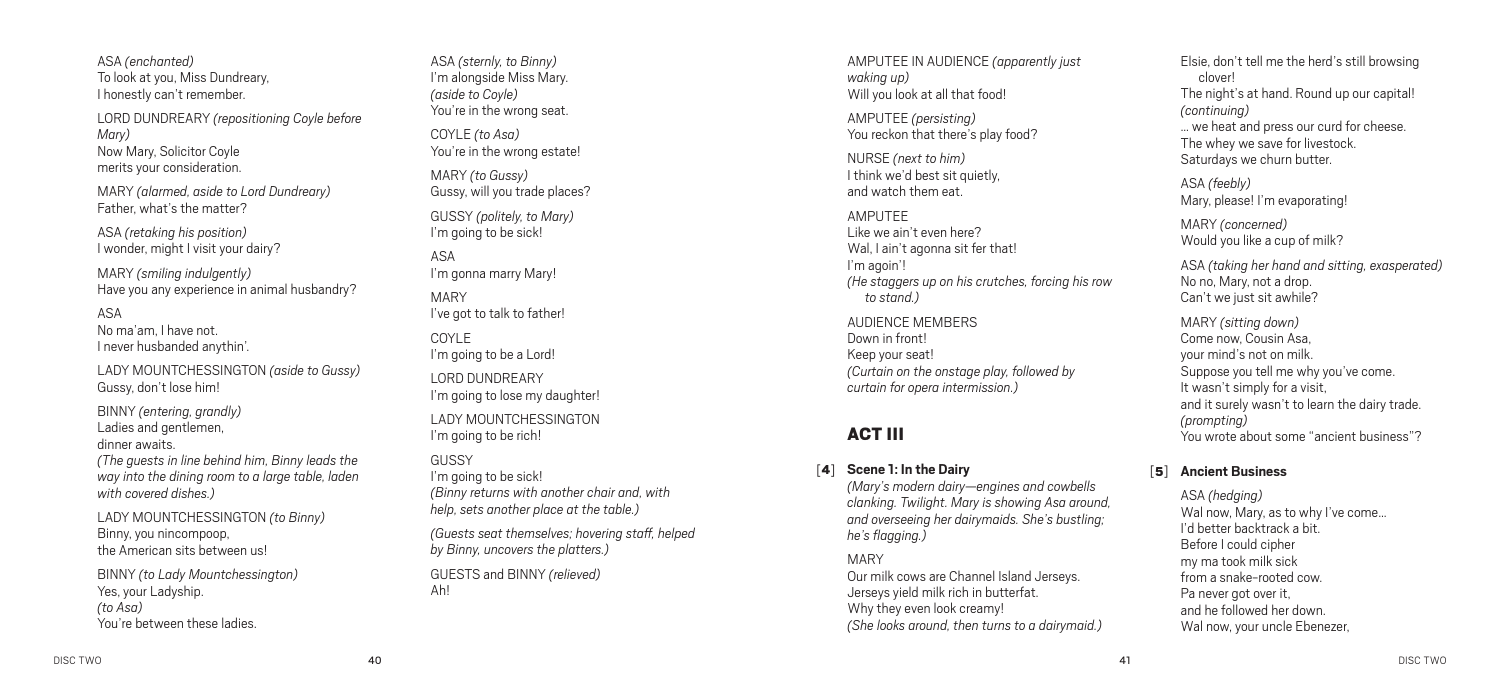ASA *(enchanted)* To look at you, Miss Dundreary, I honestly can't remember.

LORD DUNDREARY *(repositioning Coyle before Mary)* Now Mary, Solicitor Coyle merits your consideration.

MARY *(alarmed, aside to Lord Dundreary)* Father, what's the matter?

ASA *(retaking his position)* I wonder, might I visit your dairy?

MARY *(smiling indulgently)* Have you any experience in animal husbandry?

 $\Delta \leq \Delta$ 

No ma'am, I have not. I never husbanded anythin'.

LADY MOUNTCHESSINGTON *(aside to Gussy)* Gussy, don't lose him!

BINNY *(entering, grandly)* Ladies and gentlemen, dinner awaits.

*(The guests in line behind him, Binny leads the way into the dining room to a large table, laden with covered dishes.)*

LADY MOUNTCHESSINGTON *(to Binny)* Binny, you nincompoop, the American sits between us!

BINNY *(to Lady Mountchessington)* Yes, your Ladyship. *(to Asa)* You're between these ladies.

ASA *(sternly, to Binny)* I'm alongside Miss Mary. *(aside to Coyle)* You're in the wrong seat. COYLE *(to Asa)* You're in the wrong estate! MARY *(to Gussy)* Gussy, will you trade places? GUSSY *(politely, to Mary)* I'm going to be sick! ASA I'm gonna marry Mary! MARY I've got to talk to father! COYLE I'm going to be a Lord! LORD DUNDREARY I'm going to lose my daughter! LADY MOUNTCHESSINGTON I'm going to be rich! **GUSSY** 

I'm going to be sick! *(Binny returns with another chair and, with help, sets another place at the table.)*

*(Guests seat themselves; hovering staff, helped by Binny, uncovers the platters.)*

GUESTS and BINNY *(relieved)* Ah!

AMPUTEE IN AUDIENCE *(apparently just waking up)* Will you look at all that food!

AMPUTEE *(persisting)* You reckon that there's play food?

NURSE *(next to him)* I think we'd best sit quietly, and watch them eat.

AMPUTEE Like we ain't even here? Wal, I ain't agonna sit fer that! I'm agoin'! *(He staggers up on his crutches, forcing his row to stand.)*

AUDIENCE MEMBERS Down in front! Keep your seat! *(Curtain on the onstage play, followed by curtain for opera intermission.)*

## ACT III

### [4] **Scene 1: In the Dairy**

*(Mary's modern dairy—engines and cowbells clanking. Twilight. Mary is showing Asa around, and overseeing her dairymaids. She's bustling; he's flagging.)*

#### MARY

Our milk cows are Channel Island Jerseys. Jerseys yield milk rich in butterfat. Why they even look creamy! *(She looks around, then turns to a dairymaid.)* Elsie, don't tell me the herd's still browsing clover! The night's at hand. Round up our capital! *(continuing)* … we heat and press our curd for cheese. The whey we save for livestock. Saturdays we churn butter.

ASA *(feebly)* Mary, please! I'm evaporating!

MARY *(concerned)* Would you like a cup of milk?

ASA *(taking her hand and sitting, exasperated)* No no, Mary, not a drop. Can't we just sit awhile?

MARY *(sitting down)* Come now, Cousin Asa, your mind's not on milk. Suppose you tell me why you've come. It wasn't simply for a visit, and it surely wasn't to learn the dairy trade. *(prompting)* You wrote about some "ancient business"?

#### [5] **Ancient Business**

ASA *(hedging)* Wal now, Mary, as to why I've come… I'd better backtrack a bit. Before I could cipher my ma took milk sick from a snake-rooted cow. Pa never got over it, and he followed her down. Wal now, your uncle Ebenezer,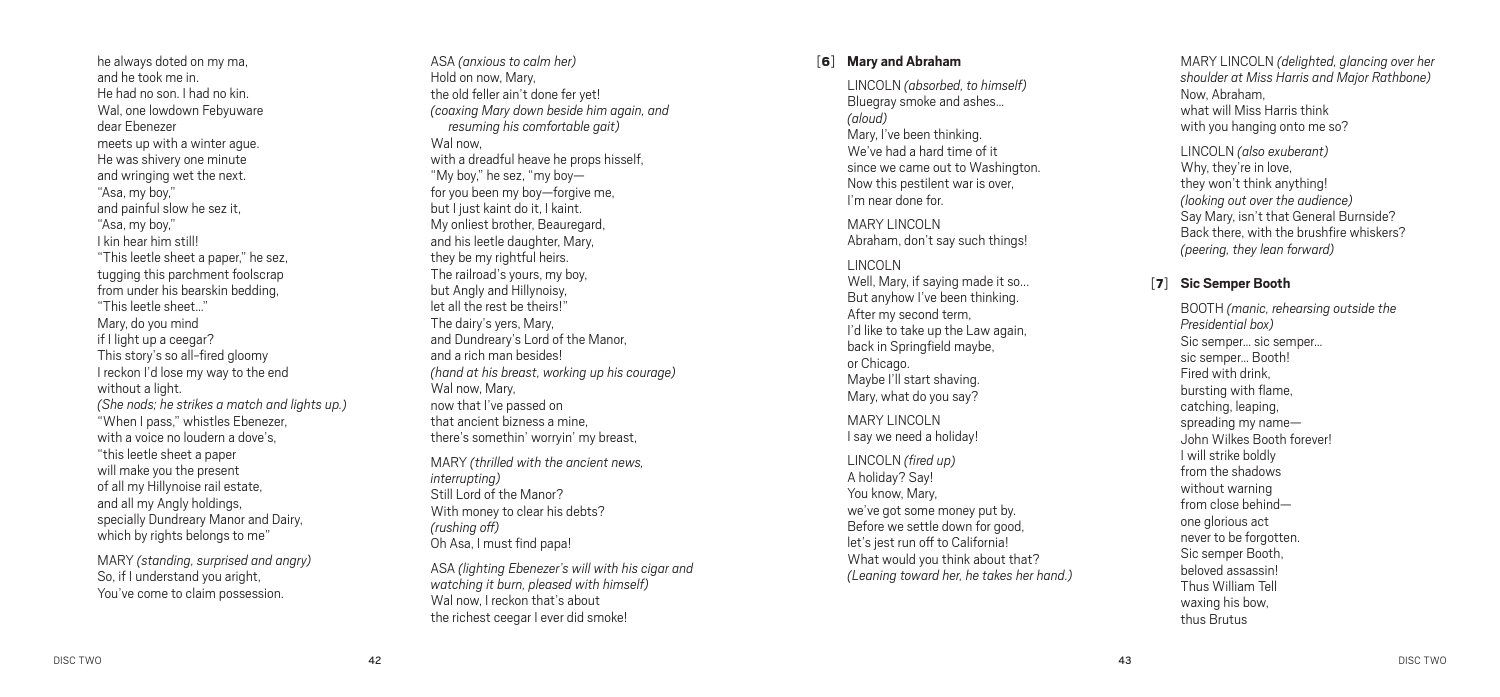he always doted on my ma, and he took me in. He had no son. I had no kin. Wal, one lowdown Febyuware dear Ebenezer meets up with a winter ague. He was shivery one minute and wringing wet the next. "Asa, my boy," and painful slow he sez it, "Asa, my boy," I kin hear him still! "This leetle sheet a paper," he sez, tugging this parchment foolscrap from under his bearskin bedding, "This leetle sheet…" Mary, do you mind if I light up a ceegar? This story's so all-fired gloomy I reckon I'd lose my way to the end without a light. *(She nods; he strikes a match and lights up. )* "When I pass," whistles Ebenezer, with a voice no loudern a dove's, "this leetle sheet a paper will make you the present of all my Hillynoise rail estate, and all my Angly holdings, specially Dundreary Manor and Dairy, which by rights belongs to me"

MARY *(standing, surprised and angry)* So, if I understand you aright, You've come to claim possession.

ASA *(anxious to calm her)* Hold on now, Mary, the old feller ain't done fer yet! *(coaxing Mary down beside him again, and resuming his comfortable gait)* Wal now, with a dreadful heave he props hisself, "My boy," he sez, "my boy for you been my boy—forgive me, but I just kaint do it, I kaint. My onliest brother, Beauregard, and his leetle daughter, Mary, they be my rightful heirs. The railroad's yours, my boy, but Angly and Hillynoisy, let all the rest be theirs!" The dairy's yers, Mary, and Dundreary's Lord of the Manor, and a rich man besides! *(hand at his breast, working up his courage )* Wal now, Mary, now that I've passed on that ancient bizness a mine, there's somethin' worryin' my breast, MARY *(thrilled with the ancient news, interrupting )* Still Lord of the Manor? With money to clear his debts?

ASA *(lighting Ebenezer's will with his cigar and watching it burn, pleased with himself)* Wal now, I reckon that's about the richest ceegar I ever did smoke!

[ 6 ] **Mary and Abraham**

LINCOLN *(absorbed, to himself)* Bluegray smoke and ashes… *(aloud)* Mary, I've been thinking. We've had a hard time of it since we came out to Washington. Now this pestilent war is over, I'm near done for.

MARY LINCOLN Abraham, don't say such things!

LINCOLN Well, Mary, if saying made it so... But anyhow I've been thinking. After my second term, I'd like to take up the Law again, back in Springfield maybe, or Chicago. Maybe I'll start shaving. Mary, what do you say?

MARY LINCOLN I say we need a holiday!

LINCOLN *(fired up )* A holiday? Say! You know, Mary, we've got some money put by. Before we settle down for good, let's jest run off to California! What would you think about that? *(Leaning toward her, he takes her hand. )* MARY LINCOLN *(delighted, glancing over her shoulder at Miss Harris and Major Rathbone )* Now, Abraham, what will Miss Harris think with you hanging onto me so?

LINCOLN *(also exuberant)* Why, they're in love, they won't think anything! *(looking out over the audience )* Say Mary, isn't that General Burnside? Back there, with the brushfire whiskers? *(peering, they lean forward)*

#### [ 7 ] **Sic Semper Booth**

BOOTH *(manic, rehearsing outside the Presidential box)* Sic semper… sic semper… sic semper… Booth! Fired with drink, bursting with flame, catching, leaping, spreading my name— John Wilkes Booth forever! I will strike boldly from the shadows without warning from close behind one glorious act never to be forgotten. Sic semper Booth, beloved assassin! Thus William Tell waxing his bow, thus Brutus

*(rushing off)* Oh Asa, I must find papa!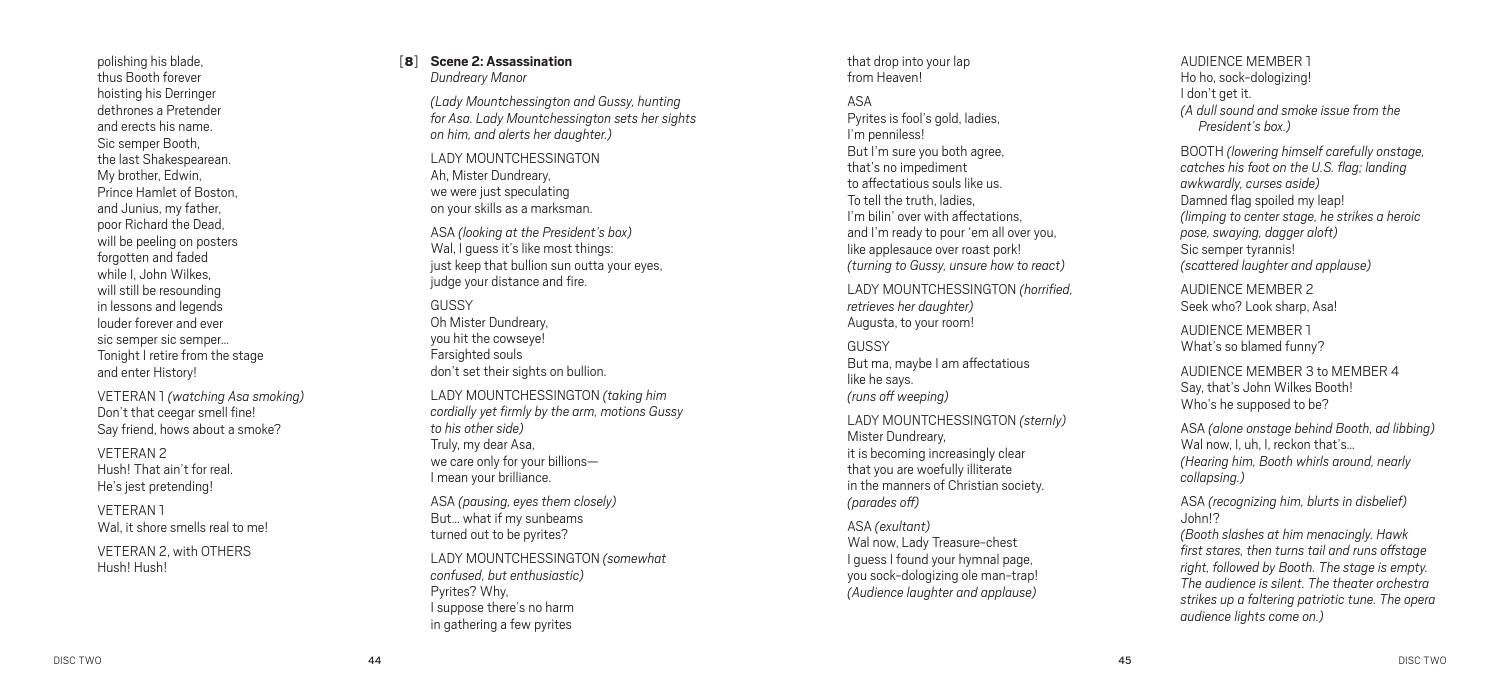polishing his blade, thus Booth forever hoisting his Derringer dethrones a Pretender and erects his name. Sic semper Booth, the last Shakespearean. My brother, Edwin, Prince Hamlet of Boston, and Junius, my father, poor Richard the Dead, will be peeling on posters forgotten and faded while I, John Wilkes, will still be resounding in lessons and legends louder forever and ever sic semper sic semper… Tonight I retire from the stage and enter History!

VETERAN 1 *(watching Asa smoking )* Don't that ceegar smell fine! Say friend, hows about a smoke?

VETERAN 2 Hush! That ain't for real. He's jest pretending!

VETERAN 1 Wal, it shore smells real to me!

VETERAN 2, with OTHE Hush! Hush!

#### [ 8 ] **Scene 2: Assassination** *Dundreary Manor*

*(Lady Mountchessington and Gussy, hunting for Asa. Lady Mountchessington sets her sights on him, and alerts her daughter. )*

LADY MOUNTCHESSINGT Ah, Mister Dundreary, we were just speculating on your skills as a marksman.

ASA *(looking at the President's box)* Wal, I guess it's like most things: just keep that bullion sun outta your eyes, judge your distance and fire.

**GUSSY** Oh Mister Dundreary, you hit the cowseye! Farsighted souls don't set their sights on bullion.

LADY MOUNTC HESSIN GTON *(taking him cordially yet firmly by the arm, motions Gussy to his other side )* Truly, my dear Asa, we care only for your billions— I mean your brilliance.

ASA *(pausing, eyes them closely)* But… what if my sunbeams turned out to be pyrites?

LADY MOUNTC HESSIN GTON *(somewhat confused, but enthusiastic )* Pyrites? Why,<br>I suppose there's no harm in gathering a few pyrites

that drop into your lap from Heaven!

 $\Delta \subseteq \Delta$ Pyrites is fool's gold, ladies, I'm penniless! But I'm sure you both agree, that's no impediment to affectatious souls like us. To tell the truth, ladies, I'm bilin' over with affectations, and I'm ready to pour 'em all over you, like applesauce over roast pork! *(turning to Gussy, unsure how to react)*

LADY MOUNTC HESSIN GTON *(horrified, retrieves her daughter)* Augusta, to your room!

GUSSY But ma, maybe I am affectatious like he says. *(runs off weeping )*

LADY MOUNTC HESSIN GTON *(sternly)* Mister Dundreary, it is becoming increasingly clear that you are woefully illiterate in the manners of Christian society. *(parades off)*

ASA *(exultant)* Wal now, Lady Treasure-chest I guess I found your hymnal page, you sock-dologizing ole man-trap! *(Audience laughter and applause )*

AUDIENCE MEM BER 1 Ho ho, sock-dologizing! I don't get it. *(A dull sound and smoke issue from the President's box. )*

BOOTH *(lowering himself carefully onstage, catches his foot on the U S. flag; landing . awkwardly, curses aside )* Damned flag spoiled my leap! *(limping to center stage, he strikes a heroic pose, swaying, dagger aloft)* Sic semper tyrannis! *(scattered laughter and applause )*

AUDIENCE MEM BER 2 Seek who? Look sharp, Asa!

AUDIENCE MEM BER 1 What's so blamed funny?

AUDIENCE MEM BER 3 to MEM BER 4 Say, that's John Wilkes Booth! Who's he supposed to be?

ASA *(alone onstage behind Booth, ad libbing )* Wal now, I, uh, I, reckon that's… *( Hearing him, Booth whirls around, nearly collapsing. )*

ASA *(recognizing him, blurts in disbelief)* John!?

*(Booth slashes at him menacingly. Hawk first stares, then turns tail and runs offstage right, followed by Booth. The stage is empty. The audience is silent. The theater orchestra strikes up a faltering patriotic tune. The opera audience lights come on. )*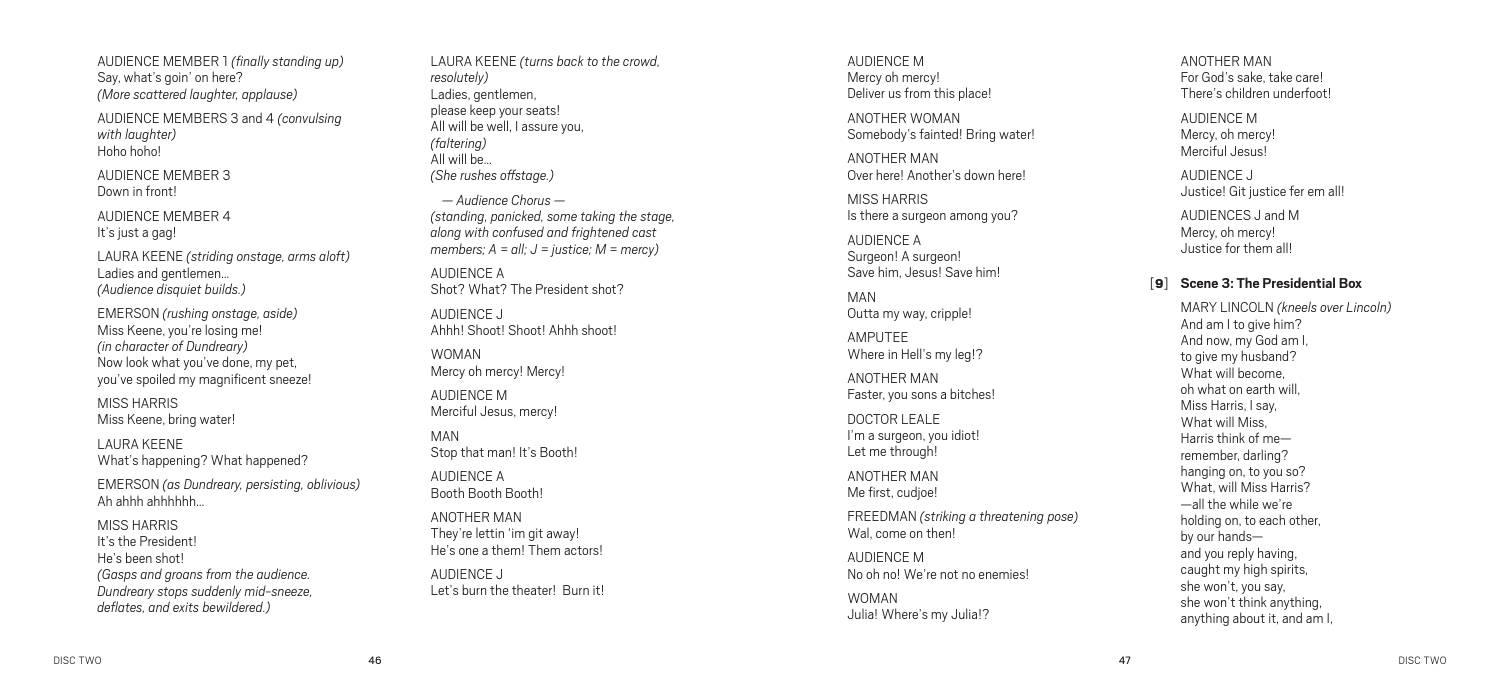AUDIENCE MEM BER 1 *(finally standing up )* Say, what's goin' on here? *(More scattered laughter, applause )*

AUDIENCE MEM BERS 3 and 4 *(convulsing with laughter)* Hoho hoho!

AUDIENCE MEM BER 3 Down in front!

AUDIENCE MEM BER 4 It's just a gag!

LAURA KEENE *(striding onstage, arms aloft)* Ladies and gentlemen… *(Audience disquiet builds. )*

EMERSON *(rushing onstage, aside )* Miss Keene, you're losing me! *(in character of Dundreary)* Now look what you've done, my pet, you've spoiled my magnificent sneeze!

MISS HARRIS Miss Keene, bring water!

LAURA KEENE What's happening? What happened?

EMERSON *(as Dundreary, persisting, oblivious)* Ah ahhh ahhhhhh…

MISS HARRIS It's the President! He's been shot! *(Gasps and groans from the audience. Dundreary stops suddenly mid-sneeze, deflates, and exits bewildered. )*

LAURA KEENE *(turns back to the crowd, resolutely)* Ladies, gentlemen, please keep your seats! All will be well, I assure you, *(faltering )* All will be… *(She rushes offstage. )*

*— Audience Chorus — (standing, panicked, some taking the stage, along with confused and frightened cast members; A = all; J = justice; M = mercy)*

AUDIENCE A Shot? What? The President shot?

AUDIENCE J Ahhh! Shoot! Shoot! Ahhh shoot!

WOMAN Mercy oh mercy! Mercy!

AUDIENCE M Merciful Jesus, mercy!

MAN Stop that man! It's Booth!

AUDIENCE A Booth Booth Booth!

ANOTHER M They're lettin 'im git away! He's one a them! Them actors!

AUDIENCE J Let's burn the theater! Burn it!

AUDIENCE M Mercy oh mercy! Deliver us from this place!

ANOTHER WOI Somebody's fainted! Bring water!

ANOTHER M Over here! Another's down here!

MISS HARRIS Is there a surgeon among you?

AUDIENCE A Surgeon! A surgeon! Save him, Jesus! Save him!

MAN Outta my way, cripple!

AMPUTEE Where in Hell's my leg!?

ANOTHER M Faster, you sons a bitches!

DOCTOR LEALE I'm a surgeon, you idiot!<br>Let me through!

ANOTHER M Me first, cudjoe!

FREEDMAN *(striking a threatening pose )* Wal, come on then!

AUDIENCE M No oh no! We're not no enemies!

WOMAN Julia! Where's my Julia!?

ANOTHER M For God's sake, take care! There's children underfoot!

AUDIENCE M Mercy, oh mercy! Merciful Jesus!

AUDIENCE J Justice! Git justice fer em all!

AUDIENCES J and M Mercy, oh mercy! Justice for them all!

#### [ 9 ] **Scene 3: The Presidential Box**

MARY LINCOLN *(kneels over Lincoln )* And am I to give him? And now, my God am I, to give my husband? What will become,<br>oh what on earth will Miss Harris, I say, What will Miss, Harris think of me remember, darling? hanging on, to you so? What, will Miss Harris? —all the while we're holding on, to each other, by our hands and you reply having, caught my high spirits, she won't, you say, she won't think anything, anything about it, and am I,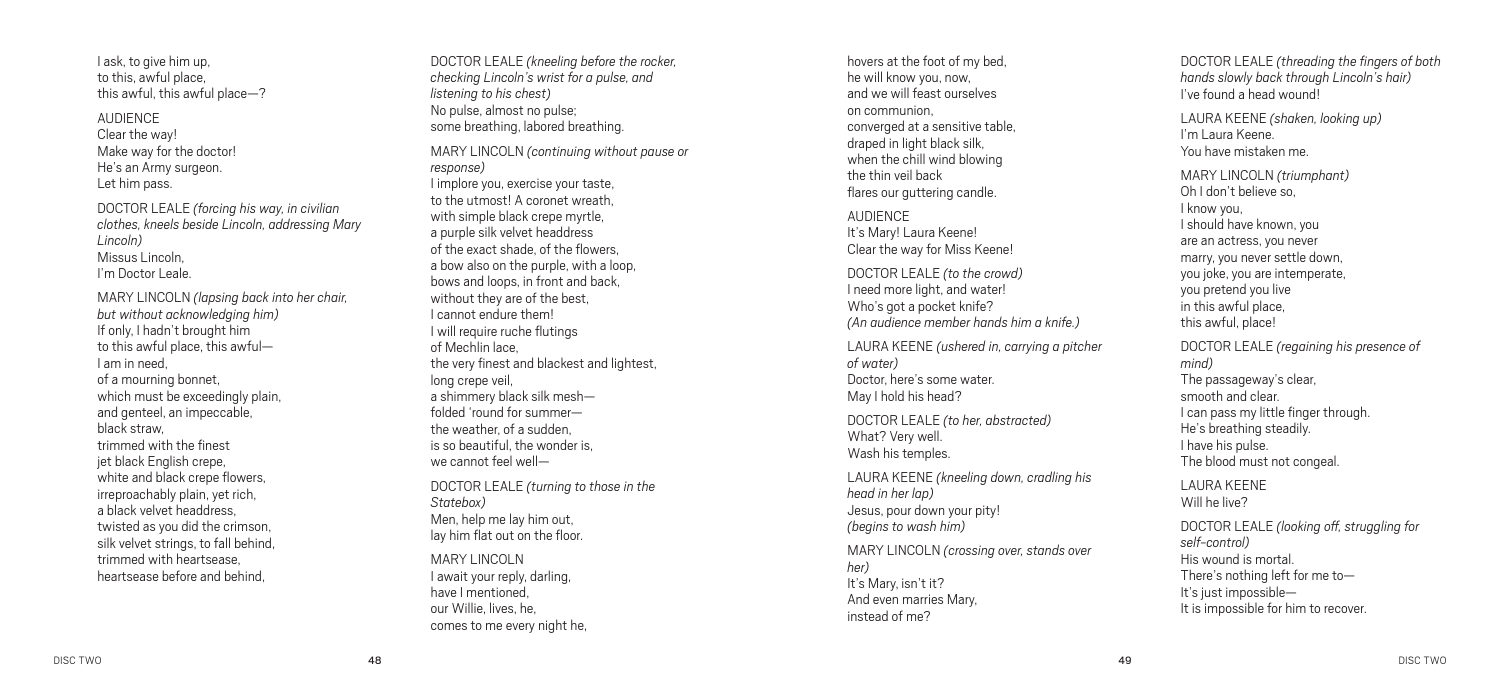I ask, to give him up, to this, awful place, this awful, this awful place—?

AUDIENCE Clear the way! Make way for the doctor! He's an Army surgeon. Let him pass.

DOCTOR LEALE *(forcing his way, in civilian clothes, kneels beside Lincoln, addressing Mary Lincoln )* Missus Lincoln, I'm Doctor Leale.

MARY LINCOLN *(lapsing back into her chair, but without acknowledging him )* If only, I hadn't brought him to this awful place, this awful— I am in need, of a mourning bonnet, which must be exceedingly plain, and genteel, an impeccable, black straw, trimmed with the finest jet black English crepe, white and black crepe flowers, irreproachably plain, yet rich, a black velvet headdress, twisted as you did the crimson, silk velvet strings, to fall behind, trimmed with heartsease, heartsease before and behind,

DOCTOR LEALE *(kneeling before the rocker, checking Lincoln's wrist for a pulse, and listening to his chest)* No pulse, almost no pulse; some breathing, labored breathing. MARY LINCOLN *(continuing without pause or response )* I implore you, exercise your taste, to the utmost! A coronet wreath, with simple black crepe myrtle, a purple silk velvet headdress of the exact shade, of the flowers, a bow also on the purple, with a loop, bows and loops, in front and back, without they are of the best,<br>I cannot endure them! I will require ruche flutings of Mechlin lace, the very finest and blackest and lightest, long crepe veil, a shimmery black silk mesh folded 'round for summer the weather, of a sudden is so beautiful, the wonder is, we cannot feel well— DOCTOR LEALE *(turning to those in the Statebox)* Men, help me lay him out, lay him flat out on the floor. MARY LINCOLN

I await your reply, darling, have I mentioned, our Willie, lives, he, comes to me every night he, hovers at the foot of my bed, he will know you, now, and we will feast ourselves on communion, converged at a sensitive table, draped in light black silk, when the chill wind blowing the thin veil back flares our guttering candle.

**AUDIFNCE** It's Mary! Laura Keene! Clear the way for Miss Keene!

DOCTOR LEALE *(to the crowd)* I need more light, and water! Who's got a pocket knife? *(An audience member hands him a knife. )*

LAURA KEENE *(ushered in, carrying a pitcher of water)* Doctor, here's some water. May I hold his head?

DOCTOR LEALE *(to her, abstracted)* What? Very well. Wash his temples.

LAURA KEENE *(kneeling down, cradling his head in her lap )* Jesus, pour down your pity! *(begins to wash him )*

MARY LINCOLN *(crossing over, stands over her)* It's Mary, isn't it? And even marries Mary, instead of me?

DOCTOR LEALE *(threading the fingers of both hands slowly back through Lincoln's hair)* I've found a head wound!

LAURA KEENE *(shaken, looking up )* I'm Laura Keene. You have mistaken me.

MARY LINCOLN *(triumphant)* I know you,<br>I should have known, you are an actress, you never marry, you never settle down, you joke, you are intemperate, you pretend you live in this awful place, this awful, place!

DOCTOR LEALE *(regaining his presence of mind)* The passageway's clear,<br>smooth and clear. I can pass my little finger through. He's breathing steadily. I have his pulse. The blood must not congeal.

LAURA KEENE Will he live?

DOCTOR LEALE *(looking off, struggling for self-control)* His wound is mortal. There's nothing left for me to— It's just impossible— It is impossible for him to recover.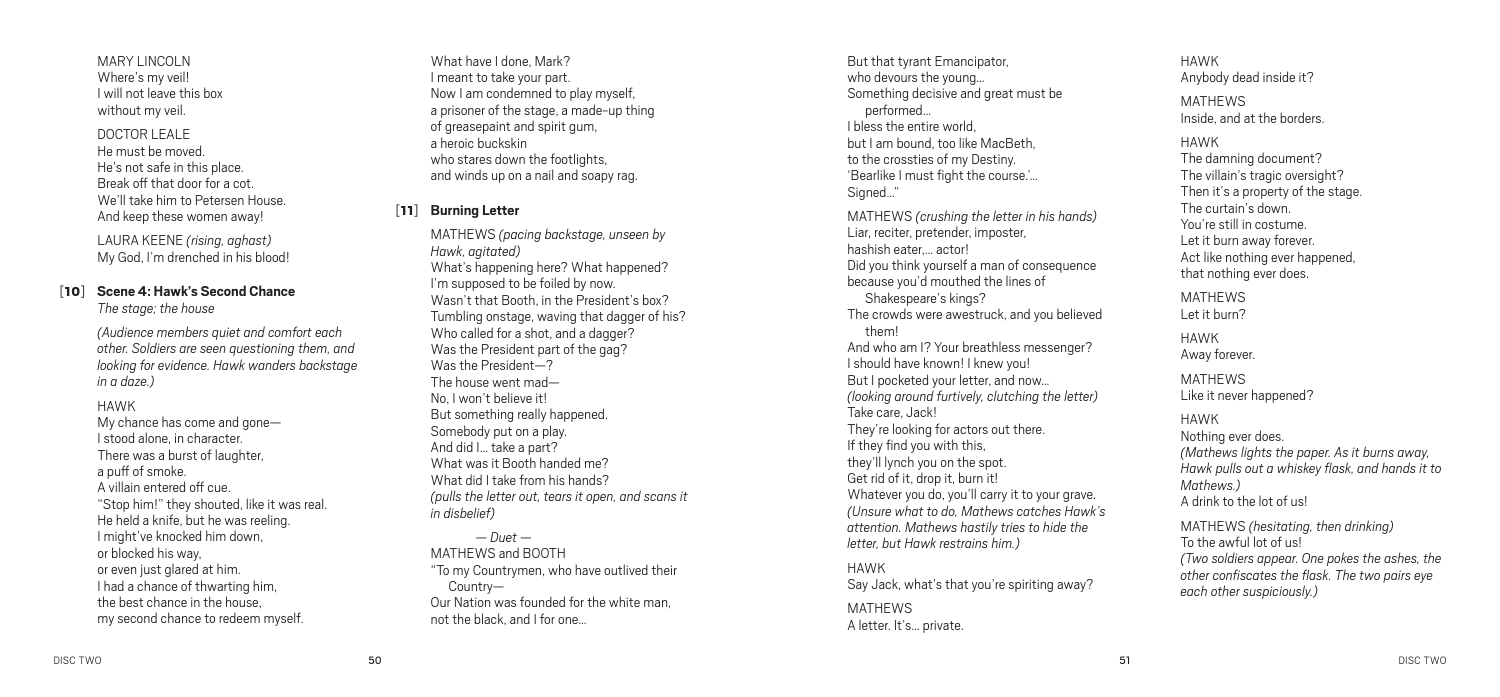MARY LINCOLN Where's my veil! I will not leave this box without my veil.

#### DOCTOR LEALE

He must be moved. He's not safe in this place. Break off that door for a cot. We'll take him to Petersen House. And keep these women away!

LAURA KEENE *(rising, aghast)* My God, I'm drenched in his blood!

### [10] **Scene 4: Hawk's Second Chance**

*The stage; the house*

*(Audience members quiet and comfort each other. Soldiers are seen questioning them, and looking for evidence. Hawk wanders backstage in a daze.)*

HAWK

My chance has come and gone— I stood alone, in character. There was a burst of laughter, a puff of smoke. A villain entered off cue. "Stop him!" they shouted, like it was real. He held a knife, but he was reeling. I might've knocked him down, or blocked his way, or even just glared at him. I had a chance of thwarting him, the best chance in the house, my second chance to redeem myself.

What have I done, Mark? I meant to take your part. Now I am condemned to play myself, a prisoner of the stage, a made-up thing of greasepaint and spirit gum, a heroic buckskin who stares down the footlights. and winds up on a nail and soapy rag.

#### [11] **Burning Letter**

MATHEWS *(pacing backstage, unseen by Hawk, agitated)* What's happening here? What happened? I'm supposed to be foiled by now. Wasn't that Booth, in the President's box? Tumbling onstage, waving that dagger of his? Who called for a shot, and a dagger? Was the President part of the gag? Was the President—? The house went mad— No, I won't believe it! But something really happened. Somebody put on a play. And did I… take a part? What was it Booth handed me? What did I take from his hands? *(pulls the letter out, tears it open, and scans it in disbelief)*

*— Duet —*  MATHEWS and BOOTH "To my Countrymen, who have outlived their Country— Our Nation was founded for the white man, not the black, and I for one…

But that tyrant Emancipator, who devours the young… Something decisive and great must be performed… I bless the entire world, but I am bound, too like MacBeth, to the crossties of my Destiny. 'Bearlike I must fight the course.'… Signed…"

MATHEWS *(crushing the letter in his hands)* Liar, reciter, pretender, imposter, hashish eater actor! Did you think yourself a man of consequence because you'd mouthed the lines of Shakespeare's kings? The crowds were awestruck, and you believed them! And who am I? Your breathless messenger? I should have known! I knew you! But I pocketed your letter, and now… *(looking around furtively, clutching the letter)* Take care, Jack! They're looking for actors out there. If they find you with this, they'll lynch you on the spot. Get rid of it, drop it, burn it! Whatever you do, you'll carry it to your grave. *(Unsure what to do, Mathews catches Hawk's attention. Mathews hastily tries to hide the letter, but Hawk restrains him.)*

HAWK Say Jack, what's that you're spiriting away?

MATHEWS A letter. It's… private. HAWK Anybody dead inside it? **MATHEWS** Inside, and at the borders. HAWK The damning document? The villain's tragic oversight? Then it's a property of the stage. The curtain's down. You're still in costume. Let it burn away forever. Act like nothing ever happened, that nothing ever does. **MATHEWS** Let it burn? HAWK Away forever. **MATHEWS** Like it never happened? HAWK

Nothing ever does. *(Mathews lights the paper. As it burns away, Hawk pulls out a whiskey flask, and hands it to Mathews.)* A drink to the lot of us!

MATHEWS *(hesitating, then drinking)* To the awful lot of us! *(Two soldiers appear. One pokes the ashes, the other confiscates the flask. The two pairs eye each other suspiciously.)*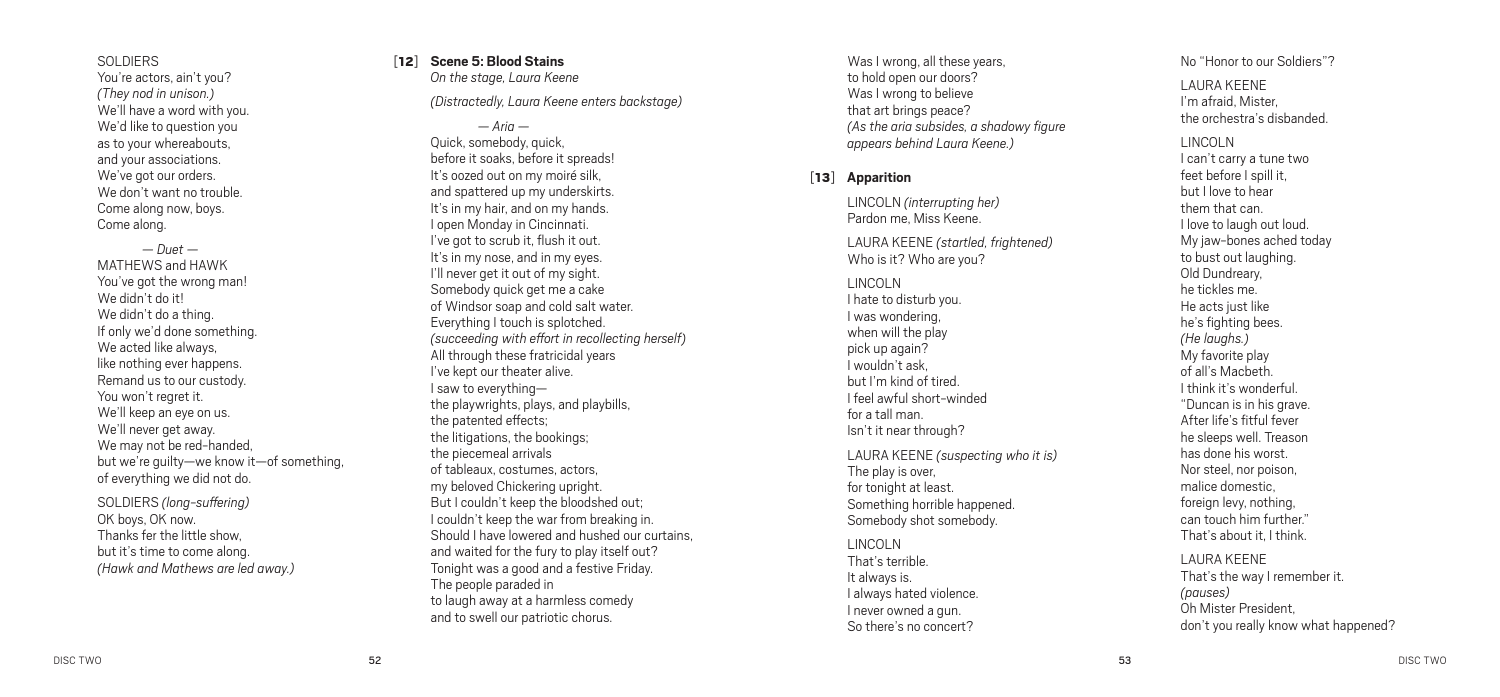#### SOLDIERS

You're actors, ain't you? *(They nod in unison.)* We'll have a word with you. We'd like to question you as to your whereabouts, and your associations. We've got our orders. We don't want no trouble. Come along now, boys. Come along.

*— Duet —*  MATHEWS and HAW You've got the wrong man! We didn't do it! We didn't do a thing. If only we'd done something. We acted like always, like nothing ever happens. Remand us to our custody. You won't regret it. We'll keep an eye on us. We'll never get away. We may not be red-handed, but we're guilty—we know it—of something, of everything we did not do.

SOLDIERS *(long-suffering )* OK boys, OK now. Thanks fer the little show, but it's time to come along. *(Hawk and Mathews are led away. )*

## [12 ] **Scene 5: Blood Stains**

*On the stage, Laura Keene* 

*(Distractedly, Laura Keene enters backstage )*

*— Aria —*  Quick, somebody, quick, before it soaks, before it spreads! It's oozed out on my moiré silk, and spattered up my underskirts. It's in my hair, and on my hands.<br>I open Mondav in Cincinnati. I've got to scrub it, flush it out. It's in my nose, and in my eyes.<br>I'll never get it out of my sight. Somebody quick get me a cake of Windsor soap and cold salt water. Everything I touch is splotched. *(succeeding with effort in recollecting herself)* All through these fratricidal years I've kept our theater alive. I saw to everything the playwrights, plays, and playbills, the patented effects; the litigations, the bookings; the piecemeal arrivals of tableaux, costumes, actors, my beloved Chickering upright. But I couldn't keep the bloodshed out; I couldn't keep the war from breaking in. Should I have lowered and hushed our curtains, and waited for the fury to play itself out? Tonight was a good and a festive Friday. The people paraded in to laugh away at a harmless comedy and to swell our patriotic chorus.

Was I wrong, all these years, to hold open our doors? Was I wrong to believe that art brings peace? *(As the aria subsides, a shadowy figure appears behind Laura Keene. )*

#### [13 ] **Apparition**

LINCOLN *(interrupting her)* Pardon me, Miss Keene.

LAURA KEENE *(startled, frightened)* Who is it? Who are you?

LINCOLN I hate to disturb you. I was wondering, when will the play pick up again? I wouldn't ask, but I'm kind of tired. I feel awful short-winded for a tall man. Isn't it near through?

LAURA KEENE *(suspecting who it is)* The play is over, for tonight at least. Something horrible happened. Somebody shot somebody.

LINCOLN That's terrible. It always is. I always hated violence. I never owned a gun. So there's no concert?

No "Honor to our Soldiers"?

LAURA KEENE I'm afraid, Mister, the orchestra's disbanded.

LINCOLN I can't carry a tune two feet before I spill it, but I love to hear them that can.<br>I love to laugh out loud. My jaw-bones ached today to bust out laughing. Old Dundreary, he tickles me. He acts just like he's fighting bees. *(He laughs.)* My favorite play of all's Macbeth. I think it's wonderful. "Duncan is in his grave. After life's fitful fever he sleeps well. Treason has done his worst. Nor steel, nor poison, malice domestic, foreign levy, nothing, can touch him further." That's about it, I think.

LAURA KEENE That's the way I remember it. *(pauses)* Oh Mister President, don't you really know what happened?